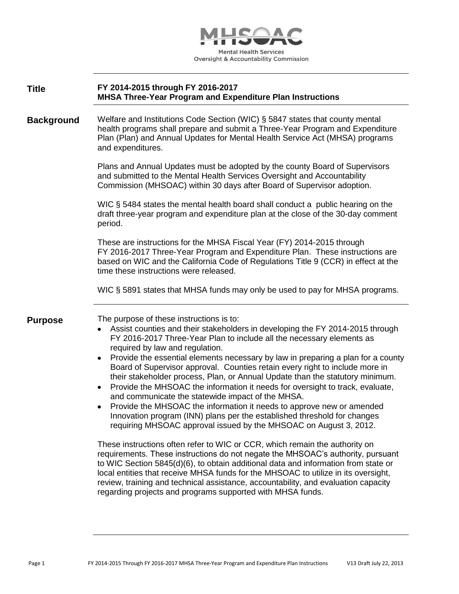

| <b>Title</b> | FY 2014-2015 through FY 2016-2017                                |
|--------------|------------------------------------------------------------------|
|              | <b>MHSA Three-Year Program and Expenditure Plan Instructions</b> |

**Background** Welfare and Institutions Code Section (WIC) § 5847 states that county mental health programs shall prepare and submit a Three-Year Program and Expenditure Plan (Plan) and Annual Updates for Mental Health Service Act (MHSA) programs and expenditures.

> Plans and Annual Updates must be adopted by the county Board of Supervisors and submitted to the Mental Health Services Oversight and Accountability Commission (MHSOAC) within 30 days after Board of Supervisor adoption.

WIC § 5484 states the mental health board shall conduct a public hearing on the draft three-year program and expenditure plan at the close of the 30-day comment period.

These are instructions for the MHSA Fiscal Year (FY) 2014-2015 through FY 2016-2017 Three-Year Program and Expenditure Plan. These instructions are based on WIC and the California Code of Regulations Title 9 (CCR) in effect at the time these instructions were released.

WIC § 5891 states that MHSA funds may only be used to pay for MHSA programs.

**Purpose** The purpose of these instructions is to:

- Assist counties and their stakeholders in developing the FY 2014-2015 through FY 2016-2017 Three-Year Plan to include all the necessary elements as required by law and regulation.
- Provide the essential elements necessary by law in preparing a plan for a county Board of Supervisor approval. Counties retain every right to include more in their stakeholder process, Plan, or Annual Update than the statutory minimum.
- Provide the MHSOAC the information it needs for oversight to track, evaluate, and communicate the statewide impact of the MHSA.
- Provide the MHSOAC the information it needs to approve new or amended Innovation program (INN) plans per the established threshold for changes requiring MHSOAC approval issued by the MHSOAC on August 3, 2012.

These instructions often refer to WIC or CCR, which remain the authority on requirements. These instructions do not negate the MHSOAC's authority, pursuant to WIC Section 5845(d)(6), to obtain additional data and information from state or local entities that receive MHSA funds for the MHSOAC to utilize in its oversight, review, training and technical assistance, accountability, and evaluation capacity regarding projects and programs supported with MHSA funds.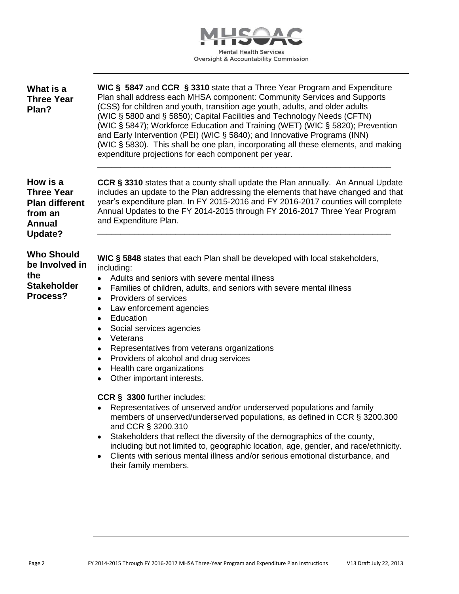

| What is a<br><b>Three Year</b><br>Plan?                                                       | WIC § 5847 and CCR § 3310 state that a Three Year Program and Expenditure<br>Plan shall address each MHSA component: Community Services and Supports<br>(CSS) for children and youth, transition age youth, adults, and older adults<br>(WIC § 5800 and § 5850); Capital Facilities and Technology Needs (CFTN)<br>(WIC § 5847); Workforce Education and Training (WET) (WIC § 5820); Prevention<br>and Early Intervention (PEI) (WIC § 5840); and Innovative Programs (INN)<br>(WIC § 5830). This shall be one plan, incorporating all these elements, and making<br>expenditure projections for each component per year.                                                                                                                                                                                                                                                                                                                                   |  |  |  |
|-----------------------------------------------------------------------------------------------|--------------------------------------------------------------------------------------------------------------------------------------------------------------------------------------------------------------------------------------------------------------------------------------------------------------------------------------------------------------------------------------------------------------------------------------------------------------------------------------------------------------------------------------------------------------------------------------------------------------------------------------------------------------------------------------------------------------------------------------------------------------------------------------------------------------------------------------------------------------------------------------------------------------------------------------------------------------|--|--|--|
| How is a<br><b>Three Year</b><br><b>Plan different</b><br>from an<br><b>Annual</b><br>Update? | CCR § 3310 states that a county shall update the Plan annually. An Annual Update<br>includes an update to the Plan addressing the elements that have changed and that<br>year's expenditure plan. In FY 2015-2016 and FY 2016-2017 counties will complete<br>Annual Updates to the FY 2014-2015 through FY 2016-2017 Three Year Program<br>and Expenditure Plan.                                                                                                                                                                                                                                                                                                                                                                                                                                                                                                                                                                                             |  |  |  |
| <b>Who Should</b><br>be Involved in<br>the<br><b>Stakeholder</b><br>Process?                  | WIC § 5848 states that each Plan shall be developed with local stakeholders,<br>including:<br>Adults and seniors with severe mental illness<br>$\bullet$<br>Families of children, adults, and seniors with severe mental illness<br>$\bullet$<br>Providers of services<br>٠<br>Law enforcement agencies<br>٠<br>Education<br>$\bullet$<br>Social services agencies<br>٠<br>Veterans<br>٠<br>Representatives from veterans organizations<br>٠<br>Providers of alcohol and drug services<br>$\bullet$<br>Health care organizations<br>$\bullet$<br>Other important interests.<br>CCR § 3300 further includes:<br>Representatives of unserved and/or underserved populations and family<br>members of unserved/underserved populations, as defined in CCR § 3200.300<br>and CCR § 3200.310<br>Stakeholders that reflect the diversity of the demographics of the county,<br>including but not limited to, geographic location, age, gender, and race/ethnicity. |  |  |  |
|                                                                                               | Clients with serious mental illness and/or serious emotional disturbance, and<br>٠<br>their family members.                                                                                                                                                                                                                                                                                                                                                                                                                                                                                                                                                                                                                                                                                                                                                                                                                                                  |  |  |  |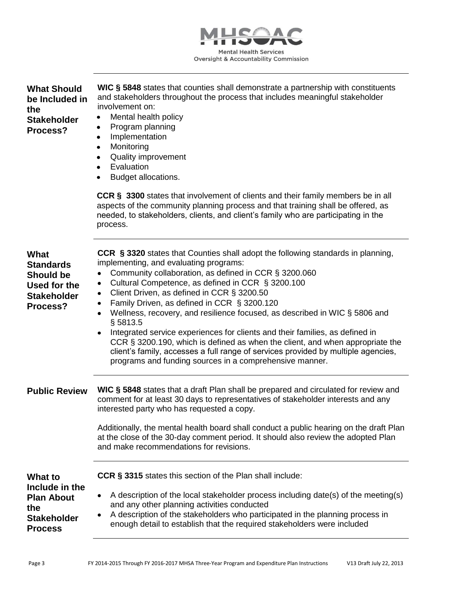

| <b>What Should</b><br>be Included in<br>the<br><b>Stakeholder</b><br>Process?                         | WIC § 5848 states that counties shall demonstrate a partnership with constituents<br>and stakeholders throughout the process that includes meaningful stakeholder<br>involvement on:<br>Mental health policy<br>٠<br>Program planning<br>٠<br>Implementation<br>$\bullet$<br>Monitoring<br>$\bullet$<br><b>Quality improvement</b><br>٠<br>Evaluation<br>٠<br>Budget allocations.<br>$\bullet$                                                                                                                                                                                                                                                                                                                                                                                            |
|-------------------------------------------------------------------------------------------------------|-------------------------------------------------------------------------------------------------------------------------------------------------------------------------------------------------------------------------------------------------------------------------------------------------------------------------------------------------------------------------------------------------------------------------------------------------------------------------------------------------------------------------------------------------------------------------------------------------------------------------------------------------------------------------------------------------------------------------------------------------------------------------------------------|
|                                                                                                       | <b>CCR § 3300</b> states that involvement of clients and their family members be in all<br>aspects of the community planning process and that training shall be offered, as<br>needed, to stakeholders, clients, and client's family who are participating in the<br>process.                                                                                                                                                                                                                                                                                                                                                                                                                                                                                                             |
| <b>What</b><br><b>Standards</b><br><b>Should be</b><br>Used for the<br><b>Stakeholder</b><br>Process? | CCR § 3320 states that Counties shall adopt the following standards in planning,<br>implementing, and evaluating programs:<br>Community collaboration, as defined in CCR § 3200.060<br>$\bullet$<br>Cultural Competence, as defined in CCR § 3200.100<br>٠<br>Client Driven, as defined in CCR § 3200.50<br>٠<br>Family Driven, as defined in CCR § 3200.120<br>٠<br>Wellness, recovery, and resilience focused, as described in WIC § 5806 and<br>$\bullet$<br>§ 5813.5<br>Integrated service experiences for clients and their families, as defined in<br>CCR § 3200.190, which is defined as when the client, and when appropriate the<br>client's family, accesses a full range of services provided by multiple agencies,<br>programs and funding sources in a comprehensive manner. |
| <b>Public Review</b>                                                                                  | WIC § 5848 states that a draft Plan shall be prepared and circulated for review and<br>comment for at least 30 days to representatives of stakeholder interests and any<br>interested party who has requested a copy.<br>Additionally, the mental health board shall conduct a public hearing on the draft Plan<br>at the close of the 30-day comment period. It should also review the adopted Plan<br>and make recommendations for revisions.                                                                                                                                                                                                                                                                                                                                           |
| What to<br>Include in the<br><b>Plan About</b><br>the<br><b>Stakeholder</b><br><b>Process</b>         | CCR § 3315 states this section of the Plan shall include:<br>A description of the local stakeholder process including date(s) of the meeting(s)<br>٠<br>and any other planning activities conducted<br>A description of the stakeholders who participated in the planning process in<br>٠<br>enough detail to establish that the required stakeholders were included                                                                                                                                                                                                                                                                                                                                                                                                                      |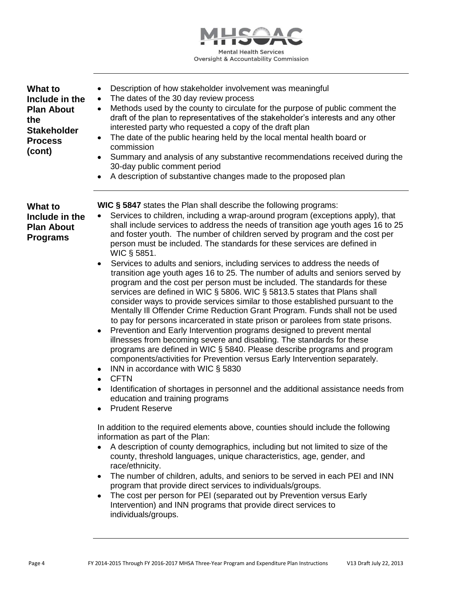

| <b>What to</b><br>Include in the<br><b>Plan About</b><br>the<br><b>Stakeholder</b><br><b>Process</b><br>(cont) | Description of how stakeholder involvement was meaningful<br>٠<br>The dates of the 30 day review process<br>$\bullet$<br>Methods used by the county to circulate for the purpose of public comment the<br>٠<br>draft of the plan to representatives of the stakeholder's interests and any other<br>interested party who requested a copy of the draft plan<br>The date of the public hearing held by the local mental health board or<br>٠<br>commission<br>Summary and analysis of any substantive recommendations received during the<br>٠<br>30-day public comment period<br>A description of substantive changes made to the proposed plan<br>$\bullet$                                                                                                                                                                                                                                                                                                                                                                                                                                                                                                                                                                                                                                                                                                                                                                                                                                                                                                                                                                                                                                                                                                                                                                                                                                                                                                                                                                                                                                                                                                                |
|----------------------------------------------------------------------------------------------------------------|-----------------------------------------------------------------------------------------------------------------------------------------------------------------------------------------------------------------------------------------------------------------------------------------------------------------------------------------------------------------------------------------------------------------------------------------------------------------------------------------------------------------------------------------------------------------------------------------------------------------------------------------------------------------------------------------------------------------------------------------------------------------------------------------------------------------------------------------------------------------------------------------------------------------------------------------------------------------------------------------------------------------------------------------------------------------------------------------------------------------------------------------------------------------------------------------------------------------------------------------------------------------------------------------------------------------------------------------------------------------------------------------------------------------------------------------------------------------------------------------------------------------------------------------------------------------------------------------------------------------------------------------------------------------------------------------------------------------------------------------------------------------------------------------------------------------------------------------------------------------------------------------------------------------------------------------------------------------------------------------------------------------------------------------------------------------------------------------------------------------------------------------------------------------------------|
| What to<br>Include in the<br><b>Plan About</b><br><b>Programs</b>                                              | <b>WIC § 5847</b> states the Plan shall describe the following programs:<br>Services to children, including a wrap-around program (exceptions apply), that<br>shall include services to address the needs of transition age youth ages 16 to 25<br>and foster youth. The number of children served by program and the cost per<br>person must be included. The standards for these services are defined in<br>WIC § 5851.<br>Services to adults and seniors, including services to address the needs of<br>$\bullet$<br>transition age youth ages 16 to 25. The number of adults and seniors served by<br>program and the cost per person must be included. The standards for these<br>services are defined in WIC § 5806. WIC § 5813.5 states that Plans shall<br>consider ways to provide services similar to those established pursuant to the<br>Mentally III Offender Crime Reduction Grant Program. Funds shall not be used<br>to pay for persons incarcerated in state prison or parolees from state prisons.<br>Prevention and Early Intervention programs designed to prevent mental<br>٠<br>illnesses from becoming severe and disabling. The standards for these<br>programs are defined in WIC § 5840. Please describe programs and program<br>components/activities for Prevention versus Early Intervention separately.<br>INN in accordance with WIC § 5830<br>٠<br><b>CFTN</b><br>$\bullet$<br>Identification of shortages in personnel and the additional assistance needs from<br>$\bullet$<br>education and training programs<br><b>Prudent Reserve</b><br>In addition to the required elements above, counties should include the following<br>information as part of the Plan:<br>A description of county demographics, including but not limited to size of the<br>county, threshold languages, unique characteristics, age, gender, and<br>race/ethnicity.<br>The number of children, adults, and seniors to be served in each PEI and INN<br>program that provide direct services to individuals/groups.<br>The cost per person for PEI (separated out by Prevention versus Early<br>Intervention) and INN programs that provide direct services to |

individuals/groups.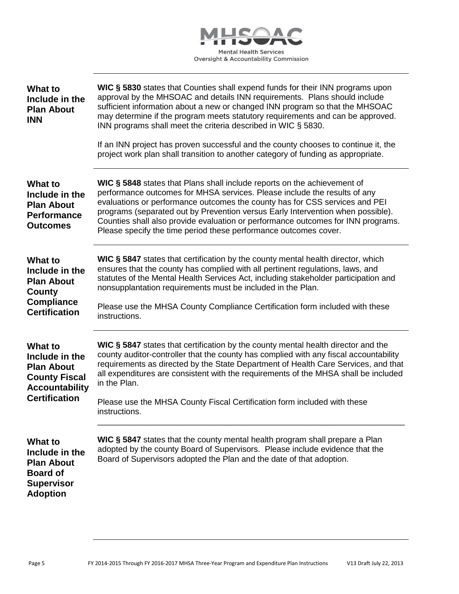

| <b>What to</b><br>Include in the<br><b>Plan About</b><br><b>INN</b>                                                            | WIC § 5830 states that Counties shall expend funds for their INN programs upon<br>approval by the MHSOAC and details INN requirements. Plans should include<br>sufficient information about a new or changed INN program so that the MHSOAC<br>may determine if the program meets statutory requirements and can be approved.<br>INN programs shall meet the criteria described in WIC § 5830.<br>If an INN project has proven successful and the county chooses to continue it, the<br>project work plan shall transition to another category of funding as appropriate. |
|--------------------------------------------------------------------------------------------------------------------------------|---------------------------------------------------------------------------------------------------------------------------------------------------------------------------------------------------------------------------------------------------------------------------------------------------------------------------------------------------------------------------------------------------------------------------------------------------------------------------------------------------------------------------------------------------------------------------|
| <b>What to</b><br>Include in the<br><b>Plan About</b><br><b>Performance</b><br><b>Outcomes</b>                                 | WIC § 5848 states that Plans shall include reports on the achievement of<br>performance outcomes for MHSA services. Please include the results of any<br>evaluations or performance outcomes the county has for CSS services and PEI<br>programs (separated out by Prevention versus Early Intervention when possible).<br>Counties shall also provide evaluation or performance outcomes for INN programs.<br>Please specify the time period these performance outcomes cover.                                                                                           |
| <b>What to</b><br>Include in the<br><b>Plan About</b><br>County<br><b>Compliance</b><br><b>Certification</b>                   | WIC § 5847 states that certification by the county mental health director, which<br>ensures that the county has complied with all pertinent regulations, laws, and<br>statutes of the Mental Health Services Act, including stakeholder participation and<br>nonsupplantation requirements must be included in the Plan.<br>Please use the MHSA County Compliance Certification form included with these<br>instructions.                                                                                                                                                 |
| <b>What to</b><br>Include in the<br><b>Plan About</b><br><b>County Fiscal</b><br><b>Accountability</b><br><b>Certification</b> | WIC § 5847 states that certification by the county mental health director and the<br>county auditor-controller that the county has complied with any fiscal accountability<br>requirements as directed by the State Department of Health Care Services, and that<br>all expenditures are consistent with the requirements of the MHSA shall be included<br>in the Plan.<br>Please use the MHSA County Fiscal Certification form included with these<br>instructions.                                                                                                      |
| <b>What to</b><br>Include in the<br><b>Plan About</b><br><b>Board of</b><br><b>Supervisor</b><br><b>Adoption</b>               | WIC § 5847 states that the county mental health program shall prepare a Plan<br>adopted by the county Board of Supervisors. Please include evidence that the<br>Board of Supervisors adopted the Plan and the date of that adoption.                                                                                                                                                                                                                                                                                                                                      |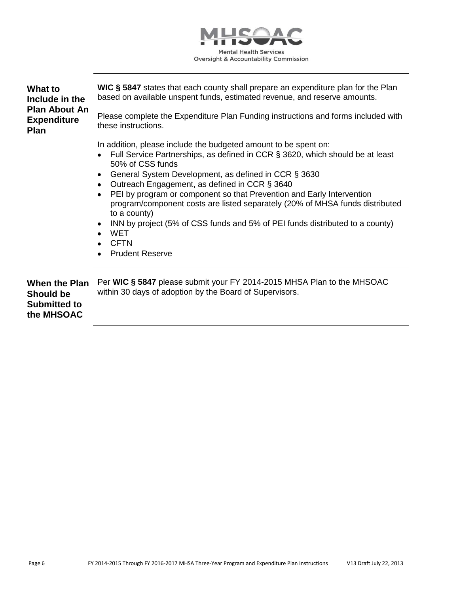

| <b>What to</b><br>Include in the                                       | WIC § 5847 states that each county shall prepare an expenditure plan for the Plan<br>based on available unspent funds, estimated revenue, and reserve amounts.                                                                                                                                                                                                                                                                                                                                                                                                                                                                                                                   |  |  |
|------------------------------------------------------------------------|----------------------------------------------------------------------------------------------------------------------------------------------------------------------------------------------------------------------------------------------------------------------------------------------------------------------------------------------------------------------------------------------------------------------------------------------------------------------------------------------------------------------------------------------------------------------------------------------------------------------------------------------------------------------------------|--|--|
| <b>Plan About An</b><br><b>Expenditure</b><br><b>Plan</b>              | Please complete the Expenditure Plan Funding instructions and forms included with<br>these instructions.                                                                                                                                                                                                                                                                                                                                                                                                                                                                                                                                                                         |  |  |
|                                                                        | In addition, please include the budgeted amount to be spent on:<br>Full Service Partnerships, as defined in CCR § 3620, which should be at least<br>$\bullet$<br>50% of CSS funds<br>General System Development, as defined in CCR § 3630<br>٠<br>Outreach Engagement, as defined in CCR § 3640<br>$\bullet$<br>PEI by program or component so that Prevention and Early Intervention<br>$\bullet$<br>program/component costs are listed separately (20% of MHSA funds distributed<br>to a county)<br>INN by project (5% of CSS funds and 5% of PEI funds distributed to a county)<br>$\bullet$<br><b>WET</b><br>$\bullet$<br><b>CFTN</b><br>$\bullet$<br><b>Prudent Reserve</b> |  |  |
| When the Plan<br><b>Should be</b><br><b>Submitted to</b><br>the MHSOAC | Per WIC § 5847 please submit your FY 2014-2015 MHSA Plan to the MHSOAC<br>within 30 days of adoption by the Board of Supervisors.                                                                                                                                                                                                                                                                                                                                                                                                                                                                                                                                                |  |  |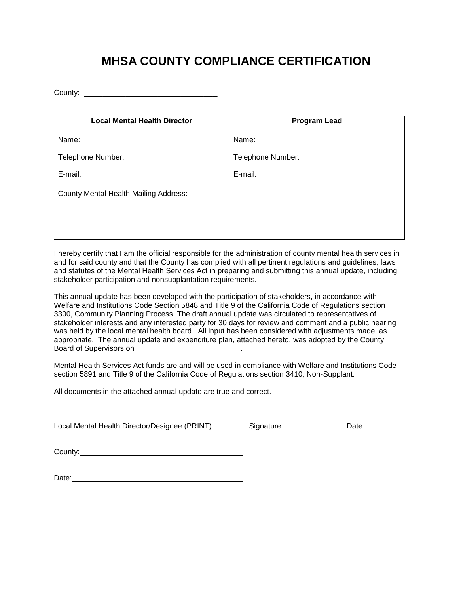# **MHSA COUNTY COMPLIANCE CERTIFICATION**

County:

| <b>Local Mental Health Director</b>          | <b>Program Lead</b> |  |  |
|----------------------------------------------|---------------------|--|--|
| Name:                                        | Name:               |  |  |
| Telephone Number:                            | Telephone Number:   |  |  |
| E-mail:                                      | E-mail:             |  |  |
| <b>County Mental Health Mailing Address:</b> |                     |  |  |
|                                              |                     |  |  |
|                                              |                     |  |  |

I hereby certify that I am the official responsible for the administration of county mental health services in and for said county and that the County has complied with all pertinent regulations and guidelines, laws and statutes of the Mental Health Services Act in preparing and submitting this annual update, including stakeholder participation and nonsupplantation requirements.

This annual update has been developed with the participation of stakeholders, in accordance with Welfare and Institutions Code Section 5848 and Title 9 of the California Code of Regulations section 3300, Community Planning Process. The draft annual update was circulated to representatives of stakeholder interests and any interested party for 30 days for review and comment and a public hearing was held by the local mental health board. All input has been considered with adjustments made, as appropriate. The annual update and expenditure plan, attached hereto, was adopted by the County Board of Supervisors on

Mental Health Services Act funds are and will be used in compliance with Welfare and Institutions Code section 5891 and Title 9 of the California Code of Regulations section 3410, Non-Supplant.

All documents in the attached annual update are true and correct.

\_\_\_\_\_\_\_\_\_\_\_\_\_\_\_\_\_\_\_\_\_\_\_\_\_\_\_\_\_\_\_\_\_\_\_\_\_\_ \_\_\_\_\_\_\_\_\_\_\_\_\_\_\_\_\_\_\_\_\_\_\_\_\_\_\_\_\_\_\_\_ Local Mental Health Director/Designee (PRINT) Signature Case of Date

County:

Date: experience and the second state of the second state and the second state of the second state of the second state  $\sim$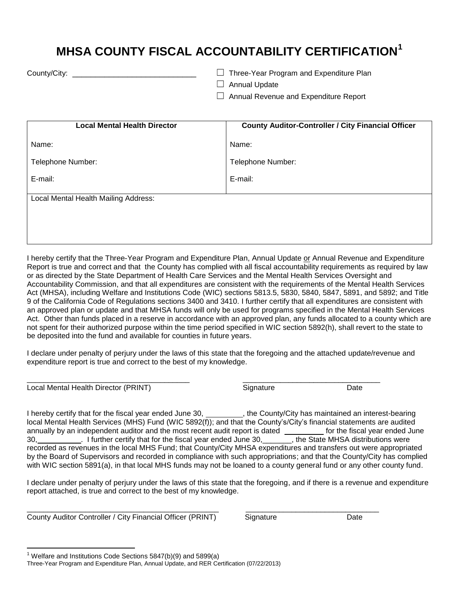# **MHSA COUNTY FISCAL ACCOUNTABILITY CERTIFICATION<sup>1</sup>**

County/City: \_\_\_\_\_\_\_\_\_\_\_\_\_\_\_\_\_\_\_\_\_\_\_\_\_\_\_ ☐ Three-Year Program and Expenditure Plan

 $\Box$  Annual Update

☐ Annual Revenue and Expenditure Report

| <b>Local Mental Health Director</b>  | <b>County Auditor-Controller / City Financial Officer</b> |  |  |  |
|--------------------------------------|-----------------------------------------------------------|--|--|--|
| Name:                                | Name:                                                     |  |  |  |
| Telephone Number:                    | Telephone Number:                                         |  |  |  |
| E-mail:                              | E-mail:                                                   |  |  |  |
| Local Mental Health Mailing Address: |                                                           |  |  |  |
|                                      |                                                           |  |  |  |
|                                      |                                                           |  |  |  |

I hereby certify that the Three-Year Program and Expenditure Plan, Annual Update or Annual Revenue and Expenditure Report is true and correct and that the County has complied with all fiscal accountability requirements as required by law or as directed by the State Department of Health Care Services and the Mental Health Services Oversight and Accountability Commission, and that all expenditures are consistent with the requirements of the Mental Health Services Act (MHSA), including Welfare and Institutions Code (WIC) sections 5813.5, 5830, 5840, 5847, 5891, and 5892; and Title 9 of the California Code of Regulations sections 3400 and 3410. I further certify that all expenditures are consistent with an approved plan or update and that MHSA funds will only be used for programs specified in the Mental Health Services Act. Other than funds placed in a reserve in accordance with an approved plan, any funds allocated to a county which are not spent for their authorized purpose within the time period specified in WIC section 5892(h), shall revert to the state to be deposited into the fund and available for counties in future years.

I declare under penalty of perjury under the laws of this state that the foregoing and the attached update/revenue and expenditure report is true and correct to the best of my knowledge.

\_\_\_\_\_\_\_\_\_\_\_\_\_\_\_\_\_\_\_\_\_\_\_\_\_\_\_\_\_\_\_\_\_\_\_\_\_\_\_ \_\_\_\_\_\_\_\_\_\_\_\_\_\_\_\_\_\_\_\_\_\_\_\_\_\_\_\_\_\_\_\_\_ Local Mental Health Director (PRINT) Signature Signature Date

 $\overline{a}$ 

I hereby certify that for the fiscal year ended June 30,  $\blacksquare$ , the County/City has maintained an interest-bearing local Mental Health Services (MHS) Fund (WIC 5892(f)); and that the County's/City's financial statements are audited annually by an independent auditor and the most recent audit report is dated \_\_\_\_\_\_\_\_\_\_ for the fiscal year ended June 30, 16ther certify that for the fiscal year ended June 30, Table State MHSA distributions were recorded as revenues in the local MHS Fund; that County/City MHSA expenditures and transfers out were appropriated by the Board of Supervisors and recorded in compliance with such appropriations; and that the County/City has complied with WIC section 5891(a), in that local MHS funds may not be loaned to a county general fund or any other county fund.

I declare under penalty of perjury under the laws of this state that the foregoing, and if there is a revenue and expenditure report attached, is true and correct to the best of my knowledge.

\_\_\_\_\_\_\_\_\_\_\_\_\_\_\_\_\_\_\_\_\_\_\_\_\_\_\_\_\_\_\_\_\_\_\_\_\_\_\_\_\_\_\_\_\_\_ \_\_\_\_\_\_\_\_\_\_\_\_\_\_\_\_\_\_\_\_\_\_\_\_\_\_\_\_\_\_\_\_ County Auditor Controller / City Financial Officer (PRINT) Signature Date Date

<sup>&</sup>lt;sup>1</sup> Welfare and Institutions Code Sections 5847(b)(9) and 5899(a)

Three-Year Program and Expenditure Plan, Annual Update, and RER Certification (07/22/2013)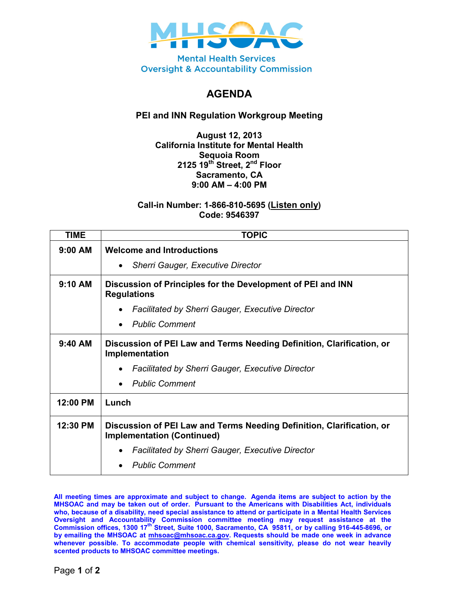

**Mental Health Services Oversight & Accountability Commission** 

## **AGENDA**

### **PEI and INN Regulation Workgroup Meeting**

#### **August 12, 2013 California Institute for Mental Health Sequoia Room 2125 19th Street, 2nd Floor Sacramento, CA 9:00 AM – 4:00 PM**

#### **Call-in Number: 1-866-810-5695 (Listen only) Code: 9546397**

| <b>TIME</b> | <b>TOPIC</b>                                                                                               |  |  |  |  |
|-------------|------------------------------------------------------------------------------------------------------------|--|--|--|--|
| $9:00$ AM   | <b>Welcome and Introductions</b>                                                                           |  |  |  |  |
|             | <b>Sherri Gauger, Executive Director</b>                                                                   |  |  |  |  |
| $9:10$ AM   | Discussion of Principles for the Development of PEI and INN<br><b>Regulations</b>                          |  |  |  |  |
|             | <b>Facilitated by Sherri Gauger, Executive Director</b>                                                    |  |  |  |  |
|             | <b>Public Comment</b>                                                                                      |  |  |  |  |
| $9:40$ AM   | Discussion of PEI Law and Terms Needing Definition, Clarification, or<br>Implementation                    |  |  |  |  |
|             | <b>Facilitated by Sherri Gauger, Executive Director</b>                                                    |  |  |  |  |
|             | <b>Public Comment</b>                                                                                      |  |  |  |  |
| 12:00 PM    | Lunch                                                                                                      |  |  |  |  |
| 12:30 PM    | Discussion of PEI Law and Terms Needing Definition, Clarification, or<br><b>Implementation (Continued)</b> |  |  |  |  |
|             | <b>Facilitated by Sherri Gauger, Executive Director</b>                                                    |  |  |  |  |
|             | <b>Public Comment</b>                                                                                      |  |  |  |  |

**All meeting times are approximate and subject to change. Agenda items are subject to action by the MHSOAC and may be taken out of order. Pursuant to the Americans with Disabilities Act, individuals who, because of a disability, need special assistance to attend or participate in a Mental Health Services**  Oversight and Accountability Commission committee meeting may request assistance at the<br>Commission offices, 1300 17<sup>th</sup> Street, Suite 1000, Sacramento, CA 95811, or by calling 916-445-8696, or **by emailing the MHSOAC at [mhsoac@mhsoac.ca.gov.](mailto:mhsoac@mhsoac.ca.gov) Requests should be made one week in advance whenever possible. To accommodate people with chemical sensitivity, please do not wear heavily scented products to MHSOAC committee meetings.**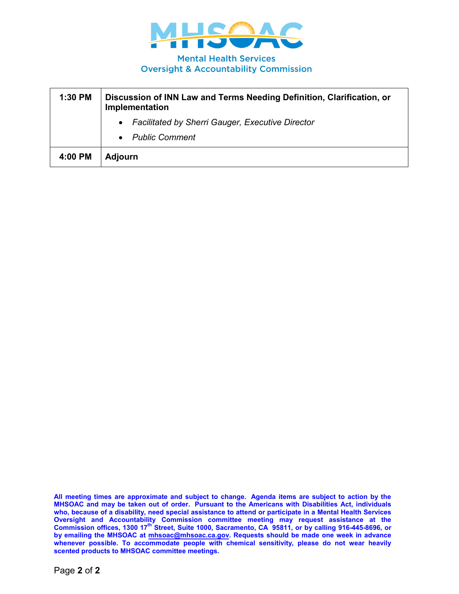

**Mental Health Services Oversight & Accountability Commission** 

| 1:30 PM | Discussion of INN Law and Terms Needing Definition, Clarification, or<br>Implementation |  |  |
|---------|-----------------------------------------------------------------------------------------|--|--|
|         | • Facilitated by Sherri Gauger, Executive Director                                      |  |  |
|         | • Public Comment                                                                        |  |  |
| 4:00 PM | <b>Adjourn</b>                                                                          |  |  |

**All meeting times are approximate and subject to change. Agenda items are subject to action by the MHSOAC and may be taken out of order. Pursuant to the Americans with Disabilities Act, individuals who, because of a disability, need special assistance to attend or participate in a Mental Health Services**  Oversight and Accountability Commission committee meeting may request assistance at the<br>Commission offices, 1300 17<sup>th</sup> Street, Suite 1000, Sacramento, CA 95811, or by calling 916-445-8696, or **by emailing the MHSOAC at [mhsoac@mhsoac.ca.gov.](mailto:mhsoac@mhsoac.ca.gov) Requests should be made one week in advance whenever possible. To accommodate people with chemical sensitivity, please do not wear heavily scented products to MHSOAC committee meetings.**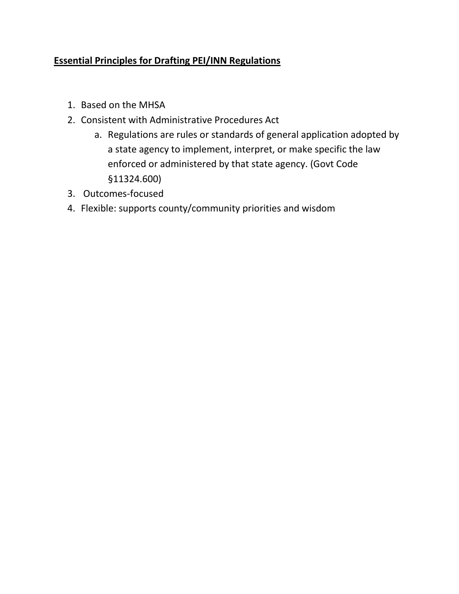## **Essential Principles for Drafting PEI/INN Regulations**

- 1. Based on the MHSA
- 2. Consistent with Administrative Procedures Act
	- a. Regulations are rules or standards of general application adopted by a state agency to implement, interpret, or make specific the law enforced or administered by that state agency. (Govt Code §11324.600)
- 3. Outcomes-focused
- 4. Flexible: supports county/community priorities and wisdom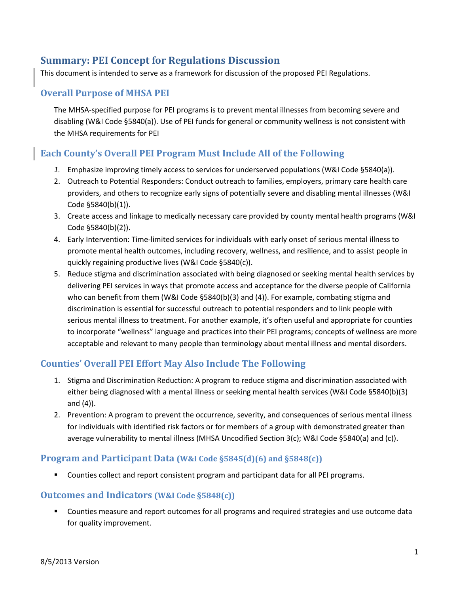## **Summary: PEI Concept for Regulations Discussion**

This document is intended to serve as a framework for discussion of the proposed PEI Regulations.

### **Overall Purpose of MHSA PEI**

The MHSA-specified purpose for PEI programs is to prevent mental illnesses from becoming severe and disabling (W&I Code §5840(a)). Use of PEI funds for general or community wellness is not consistent with the MHSA requirements for PEI

### **Each County's Overall PEI Program Must Include All of the Following**

- *1.* Emphasize improving timely access to services for underserved populations (W&I Code §5840(a)).
- 2. Outreach to Potential Responders: Conduct outreach to families, employers, primary care health care providers, and others to recognize early signs of potentially severe and disabling mental illnesses (W&I Code §5840(b)(1)).
- 3. Create access and linkage to medically necessary care provided by county mental health programs (W&I Code §5840(b)(2)).
- 4. Early Intervention: Time-limited services for individuals with early onset of serious mental illness to promote mental health outcomes, including recovery, wellness, and resilience, and to assist people in quickly regaining productive lives (W&I Code §5840(c)).
- 5. Reduce stigma and discrimination associated with being diagnosed or seeking mental health services by delivering PEI services in ways that promote access and acceptance for the diverse people of California who can benefit from them (W&I Code §5840(b)(3) and (4)). For example, combating stigma and discrimination is essential for successful outreach to potential responders and to link people with serious mental illness to treatment. For another example, it's often useful and appropriate for counties to incorporate "wellness" language and practices into their PEI programs; concepts of wellness are more acceptable and relevant to many people than terminology about mental illness and mental disorders.

### **Counties' Overall PEI Effort May Also Include The Following**

- 1. Stigma and Discrimination Reduction: A program to reduce stigma and discrimination associated with either being diagnosed with a mental illness or seeking mental health services (W&I Code §5840(b)(3) and (4)).
- 2. Prevention: A program to prevent the occurrence, severity, and consequences of serious mental illness for individuals with identified risk factors or for members of a group with demonstrated greater than average vulnerability to mental illness (MHSA Uncodified Section 3(c); W&I Code §5840(a) and (c)).

#### **Program and Participant Data (W&I Code §5845(d)(6) and §5848(c))**

Counties collect and report consistent program and participant data for all PEI programs.

#### **Outcomes and Indicators (W&I Code §5848(c))**

 Counties measure and report outcomes for all programs and required strategies and use outcome data for quality improvement.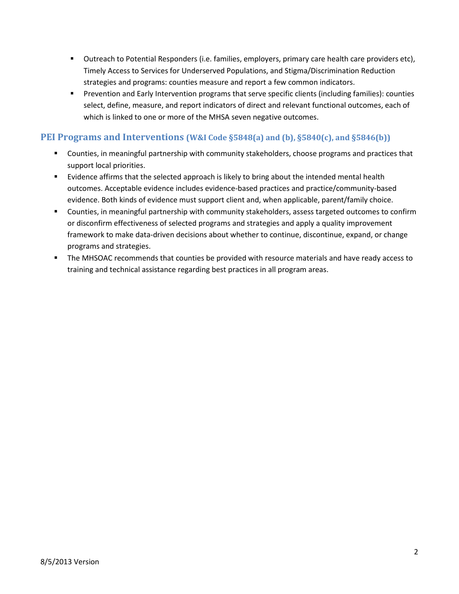- Outreach to Potential Responders (i.e. families, employers, primary care health care providers etc), Timely Access to Services for Underserved Populations, and Stigma/Discrimination Reduction strategies and programs: counties measure and report a few common indicators.
- **Prevention and Early Intervention programs that serve specific clients (including families): counties** select, define, measure, and report indicators of direct and relevant functional outcomes, each of which is linked to one or more of the MHSA seven negative outcomes.

#### **PEI Programs and Interventions (W&I Code §5848(a) and (b), §5840(c), and §5846(b))**

- Counties, in meaningful partnership with community stakeholders, choose programs and practices that support local priorities.
- **Examble 1** Evidence affirms that the selected approach is likely to bring about the intended mental health outcomes. Acceptable evidence includes evidence-based practices and practice/community-based evidence. Both kinds of evidence must support client and, when applicable, parent/family choice.
- Counties, in meaningful partnership with community stakeholders, assess targeted outcomes to confirm or disconfirm effectiveness of selected programs and strategies and apply a quality improvement framework to make data-driven decisions about whether to continue, discontinue, expand, or change programs and strategies.
- **The MHSOAC recommends that counties be provided with resource materials and have ready access to** training and technical assistance regarding best practices in all program areas.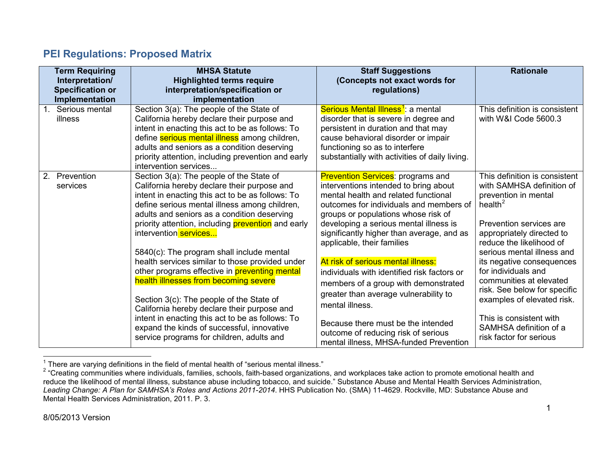## <span id="page-13-1"></span><span id="page-13-0"></span>**PEI Regulations: Proposed Matrix**

| <b>Term Requiring</b><br>Interpretation/<br><b>Specification or</b><br>Implementation | <b>MHSA Statute</b><br><b>Highlighted terms require</b><br>interpretation/specification or<br>implementation                                                                                                                                                                                                               | <b>Staff Suggestions</b><br>(Concepts not exact words for<br>regulations)                                                                                                                                                                                 | <b>Rationale</b>                                                                                                                            |
|---------------------------------------------------------------------------------------|----------------------------------------------------------------------------------------------------------------------------------------------------------------------------------------------------------------------------------------------------------------------------------------------------------------------------|-----------------------------------------------------------------------------------------------------------------------------------------------------------------------------------------------------------------------------------------------------------|---------------------------------------------------------------------------------------------------------------------------------------------|
| 1 <sub>1</sub><br>Serious mental<br>illness                                           | Section 3(a): The people of the State of<br>California hereby declare their purpose and<br>intent in enacting this act to be as follows: To<br>define serious mental illness among children,<br>adults and seniors as a condition deserving<br>priority attention, including prevention and early<br>intervention services | Serious Mental Illness <sup>1</sup> : a mental<br>disorder that is severe in degree and<br>persistent in duration and that may<br>cause behavioral disorder or impair<br>functioning so as to interfere<br>substantially with activities of daily living. | This definition is consistent<br>with W&I Code 5600.3                                                                                       |
| 2. Prevention<br>services                                                             | Section 3(a): The people of the State of<br>California hereby declare their purpose and<br>intent in enacting this act to be as follows: To<br>define serious mental illness among children,<br>adults and seniors as a condition deserving                                                                                | <b>Prevention Services: programs and</b><br>interventions intended to bring about<br>mental health and related functional<br>outcomes for individuals and members of<br>groups or populations whose risk of                                               | This definition is consistent<br>with SAMHSA definition of<br>prevention in mental<br>health $^2$                                           |
|                                                                                       | priority attention, including <b>prevention</b> and early<br>intervention services<br>5840(c): The program shall include mental<br>health services similar to those provided under                                                                                                                                         | developing a serious mental illness is<br>significantly higher than average, and as<br>applicable, their families<br>At risk of serious mental illness:                                                                                                   | Prevention services are<br>appropriately directed to<br>reduce the likelihood of<br>serious mental illness and<br>its negative consequences |
|                                                                                       | other programs effective in <b>preventing mental</b><br>health illnesses from becoming severe<br>Section 3(c): The people of the State of<br>California hereby declare their purpose and                                                                                                                                   | individuals with identified risk factors or<br>members of a group with demonstrated<br>greater than average vulnerability to<br>mental illness.                                                                                                           | for individuals and<br>communities at elevated<br>risk. See below for specific<br>examples of elevated risk.                                |
|                                                                                       | intent in enacting this act to be as follows: To<br>expand the kinds of successful, innovative<br>service programs for children, adults and                                                                                                                                                                                | Because there must be the intended<br>outcome of reducing risk of serious<br>mental illness, MHSA-funded Prevention                                                                                                                                       | This is consistent with<br>SAMHSA definition of a<br>risk factor for serious                                                                |

 $\frac{1}{1}$ There are varying definitions in the field of mental health of "serious mental illness."

<sup>&</sup>lt;sup>2</sup> "Creating communities where individuals, families, schools, faith-based organizations, and workplaces take action to promote emotional health and reduce the likelihood of mental illness, substance abuse including tobacco, and suicide." Substance Abuse and Mental Health Services Administration, *Leading Change: A Plan for SAMHSA's Roles and Actions 2011-2014*. HHS Publication No. (SMA) 11-4629. Rockville, MD: Substance Abuse and Mental Health Services Administration, 2011. P. 3.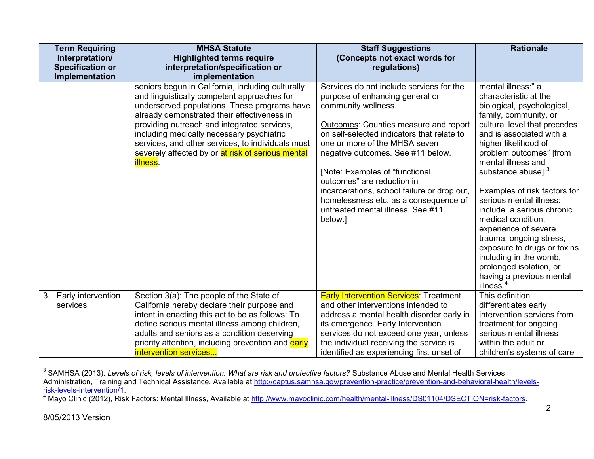<span id="page-14-1"></span><span id="page-14-0"></span>

| <b>Term Requiring</b>                     | <b>MHSA Statute</b>                                                                                                                                                                                                                                                                                                                                                                                                       | <b>Staff Suggestions</b>                                                                                                                                                                                                                                                                                                                                                                                                                                                | <b>Rationale</b>                                                                                                                                                                                                                                                                                                                                                                                                                                                                                                                                                           |
|-------------------------------------------|---------------------------------------------------------------------------------------------------------------------------------------------------------------------------------------------------------------------------------------------------------------------------------------------------------------------------------------------------------------------------------------------------------------------------|-------------------------------------------------------------------------------------------------------------------------------------------------------------------------------------------------------------------------------------------------------------------------------------------------------------------------------------------------------------------------------------------------------------------------------------------------------------------------|----------------------------------------------------------------------------------------------------------------------------------------------------------------------------------------------------------------------------------------------------------------------------------------------------------------------------------------------------------------------------------------------------------------------------------------------------------------------------------------------------------------------------------------------------------------------------|
| Interpretation/                           | <b>Highlighted terms require</b>                                                                                                                                                                                                                                                                                                                                                                                          | (Concepts not exact words for                                                                                                                                                                                                                                                                                                                                                                                                                                           |                                                                                                                                                                                                                                                                                                                                                                                                                                                                                                                                                                            |
| <b>Specification or</b><br>Implementation | interpretation/specification or<br>implementation                                                                                                                                                                                                                                                                                                                                                                         | regulations)                                                                                                                                                                                                                                                                                                                                                                                                                                                            |                                                                                                                                                                                                                                                                                                                                                                                                                                                                                                                                                                            |
|                                           | seniors begun in California, including culturally<br>and linguistically competent approaches for<br>underserved populations. These programs have<br>already demonstrated their effectiveness in<br>providing outreach and integrated services,<br>including medically necessary psychiatric<br>services, and other services, to individuals most<br>severely affected by or at risk of serious mental<br><b>illness</b> . | Services do not include services for the<br>purpose of enhancing general or<br>community wellness.<br>Outcomes: Counties measure and report<br>on self-selected indicators that relate to<br>one or more of the MHSA seven<br>negative outcomes. See #11 below.<br>[Note: Examples of "functional<br>outcomes" are reduction in<br>incarcerations, school failure or drop out,<br>homelessness etc. as a consequence of<br>untreated mental illness. See #11<br>below.] | mental illness:" a<br>characteristic at the<br>biological, psychological,<br>family, community, or<br>cultural level that precedes<br>and is associated with a<br>higher likelihood of<br>problem outcomes" [from<br>mental illness and<br>substance abuse]. <sup>3</sup><br>Examples of risk factors for<br>serious mental illness:<br>include a serious chronic<br>medical condition,<br>experience of severe<br>trauma, ongoing stress,<br>exposure to drugs or toxins<br>including in the womb,<br>prolonged isolation, or<br>having a previous mental<br>illness. $4$ |
| 3. Early intervention<br>services         | Section 3(a): The people of the State of<br>California hereby declare their purpose and<br>intent in enacting this act to be as follows: To<br>define serious mental illness among children,<br>adults and seniors as a condition deserving<br>priority attention, including prevention and early<br>intervention services                                                                                                | <b>Early Intervention Services: Treatment</b><br>and other interventions intended to<br>address a mental health disorder early in<br>its emergence. Early Intervention<br>services do not exceed one year, unless<br>the individual receiving the service is<br>identified as experiencing first onset of                                                                                                                                                               | This definition<br>differentiates early<br>intervention services from<br>treatment for ongoing<br>serious mental illness<br>within the adult or<br>children's systems of care                                                                                                                                                                                                                                                                                                                                                                                              |

 <sup>3</sup> SAMHSA (2013). *Levels of risk, levels of intervention: What are risk and protective factors?* Substance Abuse and Mental Health Services Administration, Training and Technical Assistance. Available at <u>http://captus.samhsa.gov/prevention-practice/prevention-and-behavioral-health/levels-</u> [risk-levels-intervention/1.](http://captus.samhsa.gov/prevention-practice/prevention-and-behavioral-health/levels-risk-levels-intervention/1) [4](http://captus.samhsa.gov/prevention-practice/prevention-and-behavioral-health/levels-risk-levels-intervention/1) Mayo Clinic (2012), Risk Factors: Mental Illness, Available at [http://www.mayoclinic.com/health/mental-illness/DS01104/DSECTION=risk-factors.](http://www.mayoclinic.com/health/mental-illness/DS01104/DSECTION=risk-factors)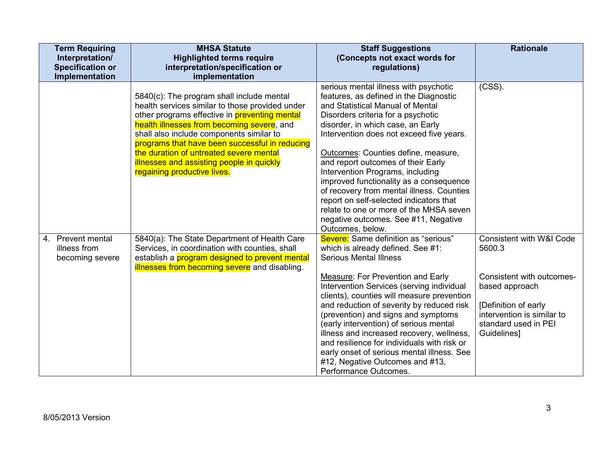| <b>Term Requiring</b><br>Interpretation/<br><b>Specification or</b><br>Implementation | <b>MHSA Statute</b><br><b>Highlighted terms require</b><br>interpretation/specification or<br>implementation                                                                                                                                                                                                                                                                                                            | <b>Staff Suggestions</b><br>(Concepts not exact words for<br>regulations)                                                                                                                                                                                                                                                                                                                                                                                                                                                                                                                             | <b>Rationale</b>                                                                                                                                                                          |
|---------------------------------------------------------------------------------------|-------------------------------------------------------------------------------------------------------------------------------------------------------------------------------------------------------------------------------------------------------------------------------------------------------------------------------------------------------------------------------------------------------------------------|-------------------------------------------------------------------------------------------------------------------------------------------------------------------------------------------------------------------------------------------------------------------------------------------------------------------------------------------------------------------------------------------------------------------------------------------------------------------------------------------------------------------------------------------------------------------------------------------------------|-------------------------------------------------------------------------------------------------------------------------------------------------------------------------------------------|
|                                                                                       | 5840(c): The program shall include mental<br>health services similar to those provided under<br>other programs effective in <b>preventing mental</b><br>health illnesses from becoming severe, and<br>shall also include components similar to<br>programs that have been successful in reducing<br>the duration of untreated severe mental<br>illnesses and assisting people in quickly<br>regaining productive lives. | serious mental illness with psychotic<br>features, as defined in the Diagnostic<br>and Statistical Manual of Mental<br>Disorders criteria for a psychotic<br>disorder, in which case, an Early<br>Intervention does not exceed five years.<br>Outcomes: Counties define, measure,<br>and report outcomes of their Early<br>Intervention Programs, including<br>improved functionality as a consequence<br>of recovery from mental illness. Counties<br>report on self-selected indicators that<br>relate to one or more of the MHSA seven<br>negative outcomes. See #11, Negative<br>Outcomes, below. | $(CSS)$ .                                                                                                                                                                                 |
| 4. Prevent mental<br>illness from<br>becoming severe                                  | 5840(a): The State Department of Health Care<br>Services, in coordination with counties, shall<br>establish a <b>program designed to prevent mental</b><br>illnesses from becoming severe and disabling.                                                                                                                                                                                                                | Severe: Same definition as "serious"<br>which is already defined. See #1:<br><b>Serious Mental Illness</b><br><b>Measure: For Prevention and Early</b><br>Intervention Services (serving individual<br>clients), counties will measure prevention<br>and reduction of severity by reduced risk<br>(prevention) and signs and symptoms<br>(early intervention) of serious mental<br>illness and increased recovery, wellness,<br>and resilience for individuals with risk or<br>early onset of serious mental illness. See<br>#12, Negative Outcomes and #13,<br>Performance Outcomes.                 | <b>Consistent with W&amp;I Code</b><br>5600.3<br>Consistent with outcomes-<br>based approach<br>[Definition of early<br>intervention is similar to<br>standard used in PEI<br>Guidelines] |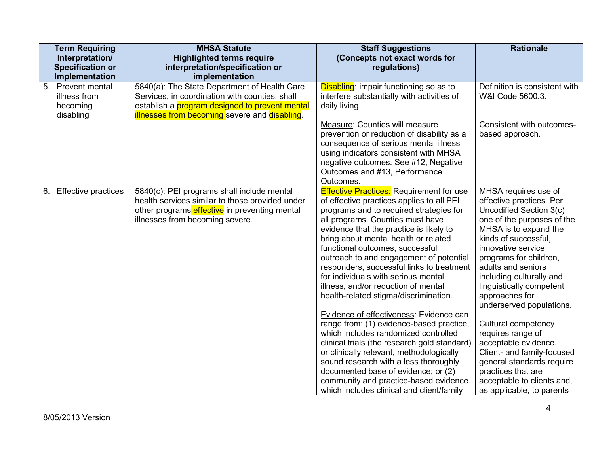|    | <b>Term Requiring</b><br>Interpretation/<br><b>Specification or</b><br>Implementation | <b>MHSA Statute</b><br><b>Highlighted terms require</b><br>interpretation/specification or<br>implementation                                                                                             | <b>Staff Suggestions</b><br>(Concepts not exact words for<br>regulations)                                                                                                                                                                                                                                                                                                                                                                                                                                                                                                                                                                                                                                                                                                                                                                                                                                         | <b>Rationale</b>                                                                                                                                                                                                                                                                                                                                                                                                                                                                                                                                       |
|----|---------------------------------------------------------------------------------------|----------------------------------------------------------------------------------------------------------------------------------------------------------------------------------------------------------|-------------------------------------------------------------------------------------------------------------------------------------------------------------------------------------------------------------------------------------------------------------------------------------------------------------------------------------------------------------------------------------------------------------------------------------------------------------------------------------------------------------------------------------------------------------------------------------------------------------------------------------------------------------------------------------------------------------------------------------------------------------------------------------------------------------------------------------------------------------------------------------------------------------------|--------------------------------------------------------------------------------------------------------------------------------------------------------------------------------------------------------------------------------------------------------------------------------------------------------------------------------------------------------------------------------------------------------------------------------------------------------------------------------------------------------------------------------------------------------|
|    | 5.<br><b>Prevent mental</b><br>illness from<br>becoming<br>disabling                  | 5840(a): The State Department of Health Care<br>Services, in coordination with counties, shall<br>establish a <i>program</i> designed to prevent mental<br>illnesses from becoming severe and disabling. | Disabling: impair functioning so as to<br>interfere substantially with activities of<br>daily living<br>Measure: Counties will measure<br>prevention or reduction of disability as a<br>consequence of serious mental illness<br>using indicators consistent with MHSA<br>negative outcomes. See #12, Negative<br>Outcomes and #13, Performance<br>Outcomes.                                                                                                                                                                                                                                                                                                                                                                                                                                                                                                                                                      | Definition is consistent with<br>W&I Code 5600.3.<br>Consistent with outcomes-<br>based approach.                                                                                                                                                                                                                                                                                                                                                                                                                                                      |
| 6. | <b>Effective practices</b>                                                            | 5840(c): PEI programs shall include mental<br>health services similar to those provided under<br>other programs effective in preventing mental<br>illnesses from becoming severe.                        | <b>Effective Practices:</b> Requirement for use<br>of effective practices applies to all PEI<br>programs and to required strategies for<br>all programs. Counties must have<br>evidence that the practice is likely to<br>bring about mental health or related<br>functional outcomes, successful<br>outreach to and engagement of potential<br>responders, successful links to treatment<br>for individuals with serious mental<br>illness, and/or reduction of mental<br>health-related stigma/discrimination.<br>Evidence of effectiveness: Evidence can<br>range from: (1) evidence-based practice,<br>which includes randomized controlled<br>clinical trials (the research gold standard)<br>or clinically relevant, methodologically<br>sound research with a less thoroughly<br>documented base of evidence; or (2)<br>community and practice-based evidence<br>which includes clinical and client/family | MHSA requires use of<br>effective practices. Per<br>Uncodified Section 3(c)<br>one of the purposes of the<br>MHSA is to expand the<br>kinds of successful,<br>innovative service<br>programs for children,<br>adults and seniors<br>including culturally and<br>linguistically competent<br>approaches for<br>underserved populations.<br>Cultural competency<br>requires range of<br>acceptable evidence.<br>Client- and family-focused<br>general standards require<br>practices that are<br>acceptable to clients and,<br>as applicable, to parents |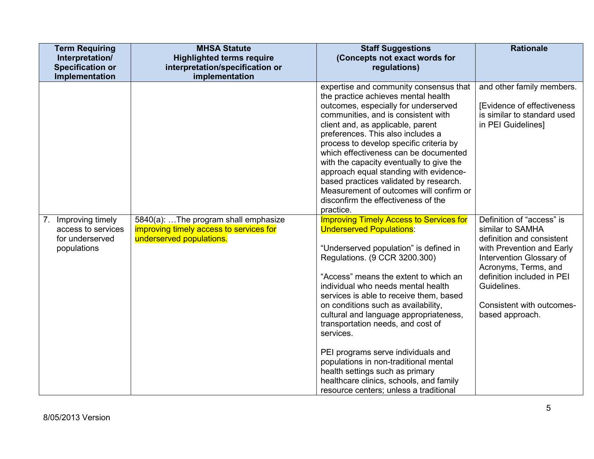| <b>Term Requiring</b><br>Interpretation/<br><b>Specification or</b><br>Implementation | <b>MHSA Statute</b><br><b>Highlighted terms require</b><br>interpretation/specification or<br>implementation | <b>Staff Suggestions</b><br>(Concepts not exact words for<br>regulations)                                                                                                                                                                                                                                                                                                                                                                                                                                                                                                                                                        | <b>Rationale</b>                                                                                                                                                                                                                                         |
|---------------------------------------------------------------------------------------|--------------------------------------------------------------------------------------------------------------|----------------------------------------------------------------------------------------------------------------------------------------------------------------------------------------------------------------------------------------------------------------------------------------------------------------------------------------------------------------------------------------------------------------------------------------------------------------------------------------------------------------------------------------------------------------------------------------------------------------------------------|----------------------------------------------------------------------------------------------------------------------------------------------------------------------------------------------------------------------------------------------------------|
|                                                                                       |                                                                                                              | expertise and community consensus that<br>the practice achieves mental health<br>outcomes, especially for underserved<br>communities, and is consistent with<br>client and, as applicable, parent<br>preferences. This also includes a<br>process to develop specific criteria by<br>which effectiveness can be documented<br>with the capacity eventually to give the<br>approach equal standing with evidence-<br>based practices validated by research.<br>Measurement of outcomes will confirm or<br>disconfirm the effectiveness of the<br>practice.                                                                        | and other family members.<br>[Evidence of effectiveness<br>is similar to standard used<br>in PEI Guidelines]                                                                                                                                             |
| Improving timely<br>7.<br>access to services<br>for underserved<br>populations        | 5840(a): The program shall emphasize<br>improving timely access to services for<br>underserved populations.  | <b>Improving Timely Access to Services for</b><br><b>Underserved Populations:</b><br>"Underserved population" is defined in<br>Regulations. (9 CCR 3200.300)<br>"Access" means the extent to which an<br>individual who needs mental health<br>services is able to receive them, based<br>on conditions such as availability,<br>cultural and language appropriateness,<br>transportation needs, and cost of<br>services.<br>PEI programs serve individuals and<br>populations in non-traditional mental<br>health settings such as primary<br>healthcare clinics, schools, and family<br>resource centers; unless a traditional | Definition of "access" is<br>similar to SAMHA<br>definition and consistent<br>with Prevention and Early<br>Intervention Glossary of<br>Acronyms, Terms, and<br>definition included in PEI<br>Guidelines.<br>Consistent with outcomes-<br>based approach. |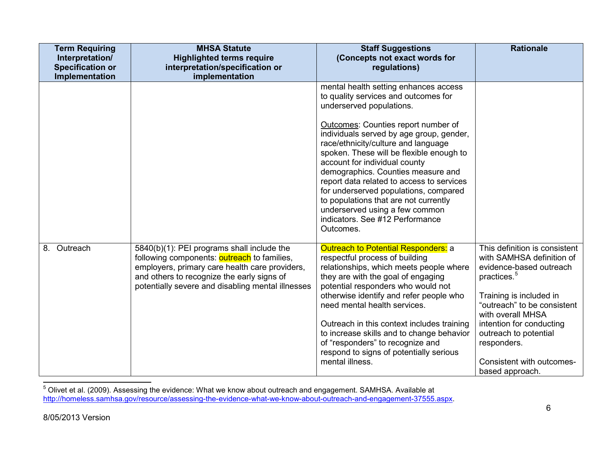| <b>Term Requiring</b><br>Interpretation/<br><b>Specification or</b><br>Implementation | <b>MHSA Statute</b><br><b>Highlighted terms require</b><br>interpretation/specification or<br>implementation                                                                                                                                          | <b>Staff Suggestions</b><br>(Concepts not exact words for<br>regulations)                                                                                                                                                                                                                                                                                                                                                                                                                                                                                               | <b>Rationale</b>                                                                                                                                                                                                                                                                                                    |
|---------------------------------------------------------------------------------------|-------------------------------------------------------------------------------------------------------------------------------------------------------------------------------------------------------------------------------------------------------|-------------------------------------------------------------------------------------------------------------------------------------------------------------------------------------------------------------------------------------------------------------------------------------------------------------------------------------------------------------------------------------------------------------------------------------------------------------------------------------------------------------------------------------------------------------------------|---------------------------------------------------------------------------------------------------------------------------------------------------------------------------------------------------------------------------------------------------------------------------------------------------------------------|
|                                                                                       |                                                                                                                                                                                                                                                       | mental health setting enhances access<br>to quality services and outcomes for<br>underserved populations.<br>Outcomes: Counties report number of<br>individuals served by age group, gender,<br>race/ethnicity/culture and language<br>spoken. These will be flexible enough to<br>account for individual county<br>demographics. Counties measure and<br>report data related to access to services<br>for underserved populations, compared<br>to populations that are not currently<br>underserved using a few common<br>indicators. See #12 Performance<br>Outcomes. |                                                                                                                                                                                                                                                                                                                     |
| 8.<br>Outreach                                                                        | 5840(b)(1): PEI programs shall include the<br>following components: <b>outreach</b> to families,<br>employers, primary care health care providers,<br>and others to recognize the early signs of<br>potentially severe and disabling mental illnesses | <b>Outreach to Potential Responders: a</b><br>respectful process of building<br>relationships, which meets people where<br>they are with the goal of engaging<br>potential responders who would not<br>otherwise identify and refer people who<br>need mental health services.<br>Outreach in this context includes training<br>to increase skills and to change behavior<br>of "responders" to recognize and<br>respond to signs of potentially serious<br>mental illness.                                                                                             | This definition is consistent<br>with SAMHSA definition of<br>evidence-based outreach<br>practices. <sup>5</sup><br>Training is included in<br>"outreach" to be consistent<br>with overall MHSA<br>intention for conducting<br>outreach to potential<br>responders.<br>Consistent with outcomes-<br>based approach. |

 <sup>5</sup> Olivet et al. (2009). Assessing the evidence: What we know about outreach and engagement. SAMHSA. Available at [http://homeless.samhsa.gov/resource/assessing-the-evidence-what-we-know-about-outreach-and-engagement-37555.aspx.](http://homeless.samhsa.gov/resource/assessing-the-evidence-what-we-know-about-outreach-and-engagement-37555.aspx)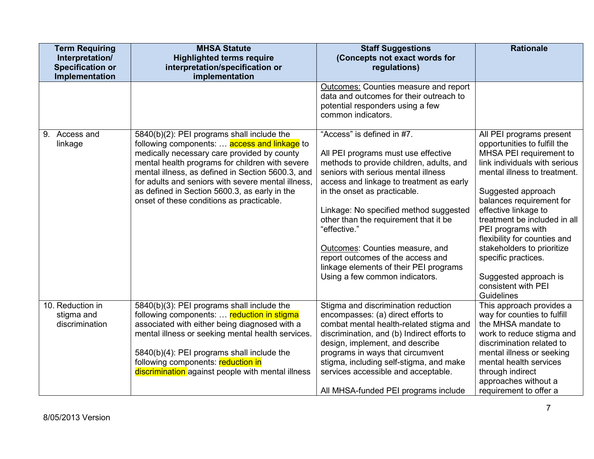| <b>Term Requiring</b>                     | <b>MHSA Statute</b>                                                                               | <b>Staff Suggestions</b>                                                      | <b>Rationale</b>                                        |
|-------------------------------------------|---------------------------------------------------------------------------------------------------|-------------------------------------------------------------------------------|---------------------------------------------------------|
| Interpretation/                           | <b>Highlighted terms require</b>                                                                  | (Concepts not exact words for                                                 |                                                         |
| <b>Specification or</b><br>Implementation | interpretation/specification or                                                                   | regulations)                                                                  |                                                         |
|                                           | implementation                                                                                    | Outcomes: Counties measure and report                                         |                                                         |
|                                           |                                                                                                   | data and outcomes for their outreach to                                       |                                                         |
|                                           |                                                                                                   | potential responders using a few                                              |                                                         |
|                                           |                                                                                                   | common indicators.                                                            |                                                         |
| Access and<br>9.                          | 5840(b)(2): PEI programs shall include the                                                        | "Access" is defined in #7.                                                    | All PEI programs present                                |
| linkage                                   | following components: <b>access and linkage</b> to<br>medically necessary care provided by county | All PEI programs must use effective                                           | opportunities to fulfill the<br>MHSA PEI requirement to |
|                                           | mental health programs for children with severe                                                   | methods to provide children, adults, and                                      | link individuals with serious                           |
|                                           | mental illness, as defined in Section 5600.3, and                                                 | seniors with serious mental illness                                           | mental illness to treatment.                            |
|                                           | for adults and seniors with severe mental illness.                                                | access and linkage to treatment as early                                      |                                                         |
|                                           | as defined in Section 5600.3, as early in the                                                     | in the onset as practicable.                                                  | Suggested approach                                      |
|                                           | onset of these conditions as practicable.                                                         |                                                                               | balances requirement for                                |
|                                           |                                                                                                   | Linkage: No specified method suggested                                        | effective linkage to                                    |
|                                           |                                                                                                   | other than the requirement that it be                                         | treatment be included in all                            |
|                                           |                                                                                                   | "effective."                                                                  | PEI programs with<br>flexibility for counties and       |
|                                           |                                                                                                   | Outcomes: Counties measure, and                                               | stakeholders to prioritize                              |
|                                           |                                                                                                   | report outcomes of the access and                                             | specific practices.                                     |
|                                           |                                                                                                   | linkage elements of their PEI programs                                        |                                                         |
|                                           |                                                                                                   | Using a few common indicators.                                                | Suggested approach is                                   |
|                                           |                                                                                                   |                                                                               | consistent with PEI                                     |
|                                           |                                                                                                   |                                                                               | Guidelines                                              |
| 10. Reduction in                          | 5840(b)(3): PEI programs shall include the                                                        | Stigma and discrimination reduction                                           | This approach provides a                                |
| stigma and<br>discrimination              | following components:  reduction in stigma<br>associated with either being diagnosed with a       | encompasses: (a) direct efforts to<br>combat mental health-related stigma and | way for counties to fulfill<br>the MHSA mandate to      |
|                                           | mental illness or seeking mental health services.                                                 | discrimination, and (b) Indirect efforts to                                   | work to reduce stigma and                               |
|                                           |                                                                                                   | design, implement, and describe                                               | discrimination related to                               |
|                                           | 5840(b)(4): PEI programs shall include the                                                        | programs in ways that circumvent                                              | mental illness or seeking                               |
|                                           | following components: reduction in                                                                | stigma, including self-stigma, and make                                       | mental health services                                  |
|                                           | discrimination against people with mental illness                                                 | services accessible and acceptable.                                           | through indirect                                        |
|                                           |                                                                                                   |                                                                               | approaches without a                                    |
|                                           |                                                                                                   | All MHSA-funded PEI programs include                                          | requirement to offer a                                  |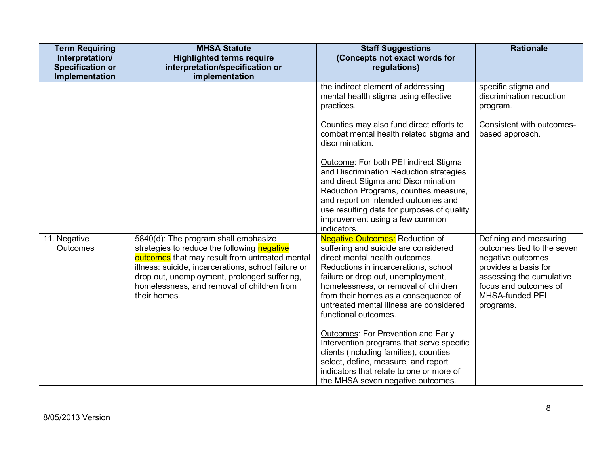| <b>Term Requiring</b><br>Interpretation/<br><b>Specification or</b> | <b>MHSA Statute</b><br><b>Highlighted terms require</b><br>interpretation/specification or                                                                                                                                                                                                                 | <b>Staff Suggestions</b><br>(Concepts not exact words for<br>regulations)                                                                                                                                                                                                                                                                         | <b>Rationale</b>                                                                                                                                                                              |
|---------------------------------------------------------------------|------------------------------------------------------------------------------------------------------------------------------------------------------------------------------------------------------------------------------------------------------------------------------------------------------------|---------------------------------------------------------------------------------------------------------------------------------------------------------------------------------------------------------------------------------------------------------------------------------------------------------------------------------------------------|-----------------------------------------------------------------------------------------------------------------------------------------------------------------------------------------------|
| Implementation                                                      | implementation                                                                                                                                                                                                                                                                                             |                                                                                                                                                                                                                                                                                                                                                   |                                                                                                                                                                                               |
|                                                                     |                                                                                                                                                                                                                                                                                                            | the indirect element of addressing<br>mental health stigma using effective<br>practices.                                                                                                                                                                                                                                                          | specific stigma and<br>discrimination reduction<br>program.                                                                                                                                   |
|                                                                     |                                                                                                                                                                                                                                                                                                            | Counties may also fund direct efforts to<br>combat mental health related stigma and<br>discrimination.                                                                                                                                                                                                                                            | Consistent with outcomes-<br>based approach.                                                                                                                                                  |
|                                                                     |                                                                                                                                                                                                                                                                                                            | Outcome: For both PEI indirect Stigma<br>and Discrimination Reduction strategies<br>and direct Stigma and Discrimination<br>Reduction Programs, counties measure,<br>and report on intended outcomes and<br>use resulting data for purposes of quality<br>improvement using a few common<br>indicators.                                           |                                                                                                                                                                                               |
| 11. Negative<br>Outcomes                                            | 5840(d): The program shall emphasize<br>strategies to reduce the following negative<br>outcomes that may result from untreated mental<br>illness: suicide, incarcerations, school failure or<br>drop out, unemployment, prolonged suffering,<br>homelessness, and removal of children from<br>their homes. | <b>Negative Outcomes:</b> Reduction of<br>suffering and suicide are considered<br>direct mental health outcomes.<br>Reductions in incarcerations, school<br>failure or drop out, unemployment,<br>homelessness, or removal of children<br>from their homes as a consequence of<br>untreated mental illness are considered<br>functional outcomes. | Defining and measuring<br>outcomes tied to the seven<br>negative outcomes<br>provides a basis for<br>assessing the cumulative<br>focus and outcomes of<br><b>MHSA-funded PEI</b><br>programs. |
|                                                                     |                                                                                                                                                                                                                                                                                                            | <b>Outcomes: For Prevention and Early</b><br>Intervention programs that serve specific<br>clients (including families), counties<br>select, define, measure, and report<br>indicators that relate to one or more of<br>the MHSA seven negative outcomes.                                                                                          |                                                                                                                                                                                               |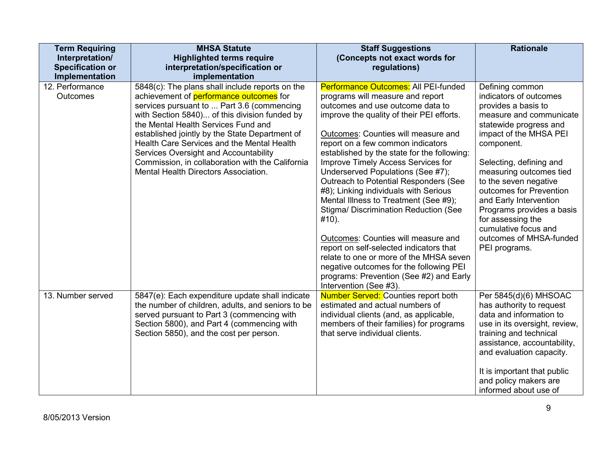| <b>Term Requiring</b>   | <b>MHSA Statute</b>                                                                  | <b>Staff Suggestions</b>                                                  | <b>Rationale</b>                                      |
|-------------------------|--------------------------------------------------------------------------------------|---------------------------------------------------------------------------|-------------------------------------------------------|
| Interpretation/         | <b>Highlighted terms require</b>                                                     | (Concepts not exact words for                                             |                                                       |
| <b>Specification or</b> | interpretation/specification or                                                      | regulations)                                                              |                                                       |
| Implementation          | implementation                                                                       |                                                                           |                                                       |
| 12. Performance         | 5848(c): The plans shall include reports on the                                      | Performance Outcomes: All PEI-funded                                      | Defining common                                       |
| <b>Outcomes</b>         | achievement of performance outcomes for                                              | programs will measure and report                                          | indicators of outcomes                                |
|                         | services pursuant to  Part 3.6 (commencing                                           | outcomes and use outcome data to                                          | provides a basis to                                   |
|                         | with Section 5840) of this division funded by<br>the Mental Health Services Fund and | improve the quality of their PEI efforts.                                 | measure and communicate<br>statewide progress and     |
|                         | established jointly by the State Department of                                       | Outcomes: Counties will measure and                                       | impact of the MHSA PEI                                |
|                         | Health Care Services and the Mental Health                                           | report on a few common indicators                                         | component.                                            |
|                         | Services Oversight and Accountability                                                | established by the state for the following:                               |                                                       |
|                         | Commission, in collaboration with the California                                     | Improve Timely Access Services for                                        | Selecting, defining and                               |
|                         | Mental Health Directors Association.                                                 | Underserved Populations (See #7);                                         | measuring outcomes tied                               |
|                         |                                                                                      | Outreach to Potential Responders (See                                     | to the seven negative                                 |
|                         |                                                                                      | #8); Linking individuals with Serious                                     | outcomes for Prevention                               |
|                         |                                                                                      | Mental Illness to Treatment (See #9);                                     | and Early Intervention                                |
|                         |                                                                                      | Stigma/ Discrimination Reduction (See                                     | Programs provides a basis                             |
|                         |                                                                                      | #10).                                                                     | for assessing the<br>cumulative focus and             |
|                         |                                                                                      | Outcomes: Counties will measure and                                       | outcomes of MHSA-funded                               |
|                         |                                                                                      | report on self-selected indicators that                                   | PEI programs.                                         |
|                         |                                                                                      | relate to one or more of the MHSA seven                                   |                                                       |
|                         |                                                                                      | negative outcomes for the following PEI                                   |                                                       |
|                         |                                                                                      | programs: Prevention (See #2) and Early                                   |                                                       |
|                         |                                                                                      | Intervention (See #3).                                                    |                                                       |
| 13. Number served       | 5847(e): Each expenditure update shall indicate                                      | <b>Number Served: Counties report both</b>                                | Per 5845(d)(6) MHSOAC                                 |
|                         | the number of children, adults, and seniors to be                                    | estimated and actual numbers of                                           | has authority to request                              |
|                         | served pursuant to Part 3 (commencing with                                           | individual clients (and, as applicable,                                   | data and information to                               |
|                         | Section 5800), and Part 4 (commencing with                                           | members of their families) for programs<br>that serve individual clients. | use in its oversight, review,                         |
|                         | Section 5850), and the cost per person.                                              |                                                                           | training and technical<br>assistance, accountability, |
|                         |                                                                                      |                                                                           | and evaluation capacity.                              |
|                         |                                                                                      |                                                                           |                                                       |
|                         |                                                                                      |                                                                           | It is important that public                           |
|                         |                                                                                      |                                                                           | and policy makers are                                 |
|                         |                                                                                      |                                                                           | informed about use of                                 |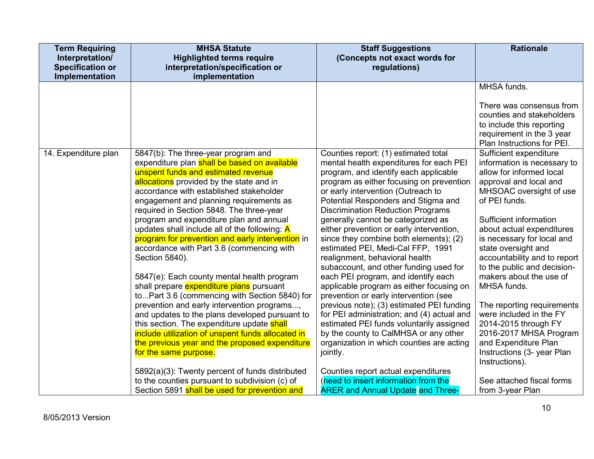| <b>Term Requiring</b>   | <b>MHSA Statute</b>                                                                                                                                                                                                                                                                                                                                                                                                                                                                                                                                                                                                                                                                                                                                                                                                                                                                                                                                                                                               | <b>Staff Suggestions</b>                                                                                                                                                                                                                                                                                                                                                                                                                                                                                                                                                                                                                                                                                                                                                                                                                                                                                                                               | <b>Rationale</b>                                                                                                                                                                                                                                                                                                                                                                                                                                                                                                                                                |
|-------------------------|-------------------------------------------------------------------------------------------------------------------------------------------------------------------------------------------------------------------------------------------------------------------------------------------------------------------------------------------------------------------------------------------------------------------------------------------------------------------------------------------------------------------------------------------------------------------------------------------------------------------------------------------------------------------------------------------------------------------------------------------------------------------------------------------------------------------------------------------------------------------------------------------------------------------------------------------------------------------------------------------------------------------|--------------------------------------------------------------------------------------------------------------------------------------------------------------------------------------------------------------------------------------------------------------------------------------------------------------------------------------------------------------------------------------------------------------------------------------------------------------------------------------------------------------------------------------------------------------------------------------------------------------------------------------------------------------------------------------------------------------------------------------------------------------------------------------------------------------------------------------------------------------------------------------------------------------------------------------------------------|-----------------------------------------------------------------------------------------------------------------------------------------------------------------------------------------------------------------------------------------------------------------------------------------------------------------------------------------------------------------------------------------------------------------------------------------------------------------------------------------------------------------------------------------------------------------|
| Interpretation/         | <b>Highlighted terms require</b>                                                                                                                                                                                                                                                                                                                                                                                                                                                                                                                                                                                                                                                                                                                                                                                                                                                                                                                                                                                  | (Concepts not exact words for                                                                                                                                                                                                                                                                                                                                                                                                                                                                                                                                                                                                                                                                                                                                                                                                                                                                                                                          |                                                                                                                                                                                                                                                                                                                                                                                                                                                                                                                                                                 |
| <b>Specification or</b> | interpretation/specification or                                                                                                                                                                                                                                                                                                                                                                                                                                                                                                                                                                                                                                                                                                                                                                                                                                                                                                                                                                                   | regulations)                                                                                                                                                                                                                                                                                                                                                                                                                                                                                                                                                                                                                                                                                                                                                                                                                                                                                                                                           |                                                                                                                                                                                                                                                                                                                                                                                                                                                                                                                                                                 |
| Implementation          | implementation                                                                                                                                                                                                                                                                                                                                                                                                                                                                                                                                                                                                                                                                                                                                                                                                                                                                                                                                                                                                    |                                                                                                                                                                                                                                                                                                                                                                                                                                                                                                                                                                                                                                                                                                                                                                                                                                                                                                                                                        |                                                                                                                                                                                                                                                                                                                                                                                                                                                                                                                                                                 |
|                         |                                                                                                                                                                                                                                                                                                                                                                                                                                                                                                                                                                                                                                                                                                                                                                                                                                                                                                                                                                                                                   |                                                                                                                                                                                                                                                                                                                                                                                                                                                                                                                                                                                                                                                                                                                                                                                                                                                                                                                                                        | MHSA funds.                                                                                                                                                                                                                                                                                                                                                                                                                                                                                                                                                     |
|                         |                                                                                                                                                                                                                                                                                                                                                                                                                                                                                                                                                                                                                                                                                                                                                                                                                                                                                                                                                                                                                   |                                                                                                                                                                                                                                                                                                                                                                                                                                                                                                                                                                                                                                                                                                                                                                                                                                                                                                                                                        | There was consensus from<br>counties and stakeholders<br>to include this reporting<br>requirement in the 3 year<br>Plan Instructions for PEI.                                                                                                                                                                                                                                                                                                                                                                                                                   |
| 14. Expenditure plan    | 5847(b): The three-year program and<br>expenditure plan shall be based on available<br>unspent funds and estimated revenue<br>allocations provided by the state and in<br>accordance with established stakeholder<br>engagement and planning requirements as<br>required in Section 5848. The three-year<br>program and expenditure plan and annual<br>updates shall include all of the following: $\overline{A}$<br>program for prevention and early intervention in<br>accordance with Part 3.6 (commencing with<br>Section 5840).<br>5847(e): Each county mental health program<br>shall prepare expenditure plans pursuant<br>toPart 3.6 (commencing with Section 5840) for<br>prevention and early intervention programs,<br>and updates to the plans developed pursuant to<br>this section. The expenditure update shall<br>include utilization of unspent funds allocated in<br>the previous year and the proposed expenditure<br>for the same purpose.<br>5892(a)(3): Twenty percent of funds distributed | Counties report: (1) estimated total<br>mental health expenditures for each PEI<br>program, and identify each applicable<br>program as either focusing on prevention<br>or early intervention (Outreach to<br>Potential Responders and Stigma and<br><b>Discrimination Reduction Programs</b><br>generally cannot be categorized as<br>either prevention or early intervention,<br>since they combine both elements); (2)<br>estimated PEI, Medi-Cal FFP, 1991<br>realignment, behavioral health<br>subaccount, and other funding used for<br>each PEI program, and identify each<br>applicable program as either focusing on<br>prevention or early intervention (see<br>previous note); (3) estimated PEI funding<br>for PEI administration; and (4) actual and<br>estimated PEI funds voluntarily assigned<br>by the county to CalMHSA or any other<br>organization in which counties are acting<br>jointly.<br>Counties report actual expenditures | Sufficient expenditure<br>information is necessary to<br>allow for informed local<br>approval and local and<br>MHSOAC oversight of use<br>of PEI funds.<br>Sufficient information<br>about actual expenditures<br>is necessary for local and<br>state oversight and<br>accountability and to report<br>to the public and decision-<br>makers about the use of<br>MHSA funds.<br>The reporting requirements<br>were included in the FY<br>2014-2015 through FY<br>2016-2017 MHSA Program<br>and Expenditure Plan<br>Instructions (3- year Plan<br>Instructions). |
|                         | to the counties pursuant to subdivision (c) of<br>Section 5891 shall be used for prevention and                                                                                                                                                                                                                                                                                                                                                                                                                                                                                                                                                                                                                                                                                                                                                                                                                                                                                                                   | (need to insert information from the<br><b>ARER and Annual Update and Three-</b>                                                                                                                                                                                                                                                                                                                                                                                                                                                                                                                                                                                                                                                                                                                                                                                                                                                                       | See attached fiscal forms<br>from 3-year Plan                                                                                                                                                                                                                                                                                                                                                                                                                                                                                                                   |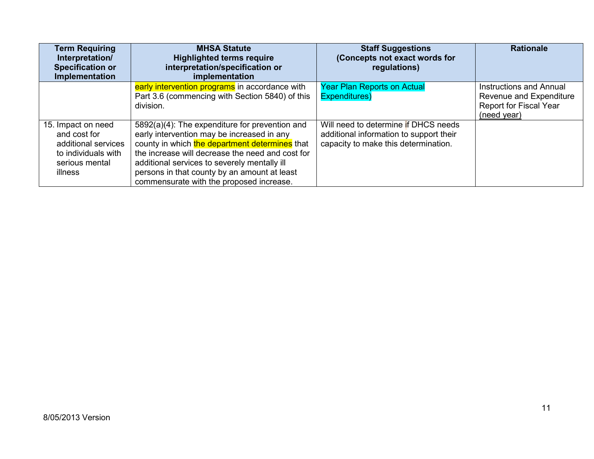| <b>Term Requiring</b><br>Interpretation/<br><b>Specification or</b><br>Implementation                         | <b>MHSA Statute</b><br><b>Highlighted terms require</b><br>interpretation/specification or<br>implementation                                                                                                                                                                                                                                   | <b>Staff Suggestions</b><br>(Concepts not exact words for<br>regulations)                                               | <b>Rationale</b>                                                                                   |
|---------------------------------------------------------------------------------------------------------------|------------------------------------------------------------------------------------------------------------------------------------------------------------------------------------------------------------------------------------------------------------------------------------------------------------------------------------------------|-------------------------------------------------------------------------------------------------------------------------|----------------------------------------------------------------------------------------------------|
|                                                                                                               | early intervention programs in accordance with<br>Part 3.6 (commencing with Section 5840) of this<br>division.                                                                                                                                                                                                                                 | <b>Year Plan Reports on Actual</b><br>Expenditures)                                                                     | <b>Instructions and Annual</b><br>Revenue and Expenditure<br>Report for Fiscal Year<br>(need year) |
| 15. Impact on need<br>and cost for<br>additional services<br>to individuals with<br>serious mental<br>illness | 5892(a)(4): The expenditure for prevention and<br>early intervention may be increased in any<br>county in which the department determines that<br>the increase will decrease the need and cost for<br>additional services to severely mentally ill<br>persons in that county by an amount at least<br>commensurate with the proposed increase. | Will need to determine if DHCS needs<br>additional information to support their<br>capacity to make this determination. |                                                                                                    |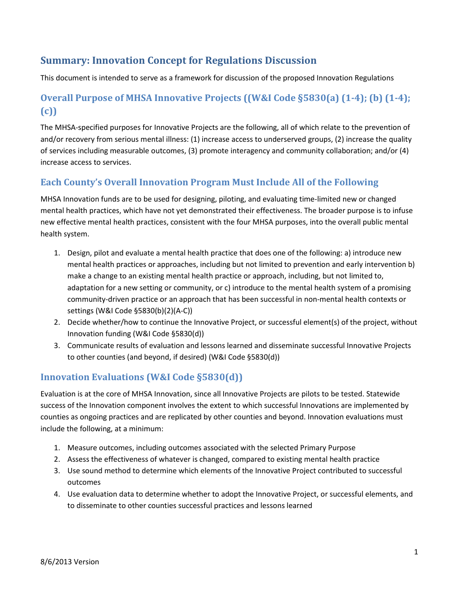## **Summary: Innovation Concept for Regulations Discussion**

This document is intended to serve as a framework for discussion of the proposed Innovation Regulations

## **Overall Purpose of MHSA Innovative Projects ((W&I Code §5830(a) (1-4); (b) (1-4); (c))**

The MHSA-specified purposes for Innovative Projects are the following, all of which relate to the prevention of and/or recovery from serious mental illness: (1) increase access to underserved groups, (2) increase the quality of services including measurable outcomes, (3) promote interagency and community collaboration; and/or (4) increase access to services.

### **Each County's Overall Innovation Program Must Include All of the Following**

MHSA Innovation funds are to be used for designing, piloting, and evaluating time-limited new or changed mental health practices, which have not yet demonstrated their effectiveness. The broader purpose is to infuse new effective mental health practices, consistent with the four MHSA purposes, into the overall public mental health system.

- 1. Design, pilot and evaluate a mental health practice that does one of the following: a) introduce new mental health practices or approaches, including but not limited to prevention and early intervention b) make a change to an existing mental health practice or approach, including, but not limited to, adaptation for a new setting or community, or c) introduce to the mental health system of a promising community-driven practice or an approach that has been successful in non-mental health contexts or settings (W&I Code §5830(b)(2)(A-C))
- 2. Decide whether/how to continue the Innovative Project, or successful element(s) of the project, without Innovation funding (W&I Code §5830(d))
- 3. Communicate results of evaluation and lessons learned and disseminate successful Innovative Projects to other counties (and beyond, if desired) (W&I Code §5830(d))

## **Innovation Evaluations (W&I Code §5830(d))**

Evaluation is at the core of MHSA Innovation, since all Innovative Projects are pilots to be tested. Statewide success of the Innovation component involves the extent to which successful Innovations are implemented by counties as ongoing practices and are replicated by other counties and beyond. Innovation evaluations must include the following, at a minimum:

- 1. Measure outcomes, including outcomes associated with the selected Primary Purpose
- 2. Assess the effectiveness of whatever is changed, compared to existing mental health practice
- 3. Use sound method to determine which elements of the Innovative Project contributed to successful outcomes
- 4. Use evaluation data to determine whether to adopt the Innovative Project, or successful elements, and to disseminate to other counties successful practices and lessons learned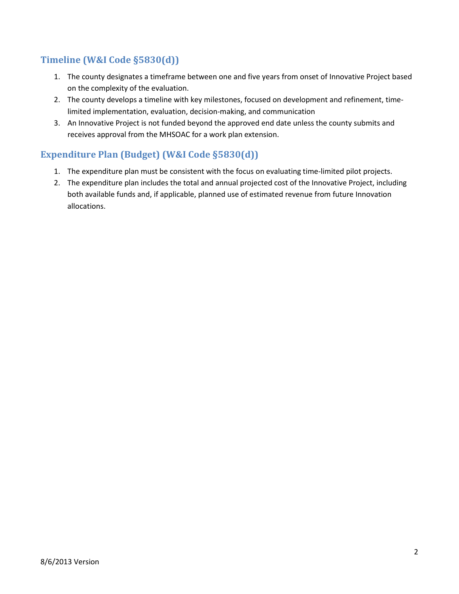## **Timeline (W&I Code §5830(d))**

- 1. The county designates a timeframe between one and five years from onset of Innovative Project based on the complexity of the evaluation.
- 2. The county develops a timeline with key milestones, focused on development and refinement, timelimited implementation, evaluation, decision-making, and communication
- 3. An Innovative Project is not funded beyond the approved end date unless the county submits and receives approval from the MHSOAC for a work plan extension.

## **Expenditure Plan (Budget) (W&I Code §5830(d))**

- 1. The expenditure plan must be consistent with the focus on evaluating time-limited pilot projects.
- 2. The expenditure plan includes the total and annual projected cost of the Innovative Project, including both available funds and, if applicable, planned use of estimated revenue from future Innovation allocations.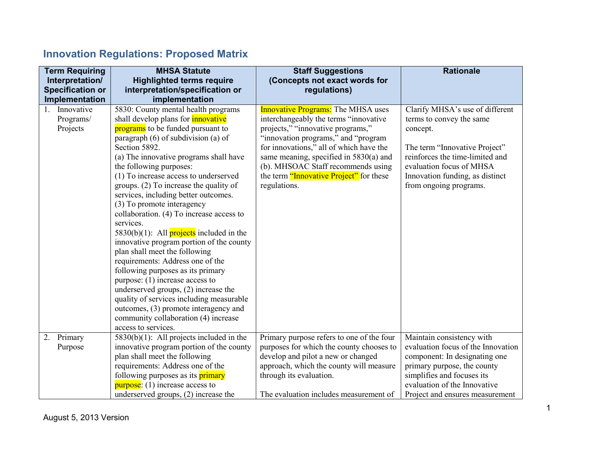# **Innovation Regulations: Proposed Matrix**

| <b>Term Requiring</b>   | <b>MHSA Statute</b>                             | <b>Staff Suggestions</b>                  | <b>Rationale</b>                   |
|-------------------------|-------------------------------------------------|-------------------------------------------|------------------------------------|
| Interpretation/         | <b>Highlighted terms require</b>                | (Concepts not exact words for             |                                    |
| <b>Specification or</b> | interpretation/specification or                 | regulations)                              |                                    |
| Implementation          | implementation                                  |                                           |                                    |
| Innovative              | 5830: County mental health programs             | <b>Innovative Programs:</b> The MHSA uses | Clarify MHSA's use of different    |
| Programs/               | shall develop plans for <i>innovative</i>       | interchangeably the terms "innovative"    | terms to convey the same           |
| Projects                | programs to be funded pursuant to               | projects," "innovative programs,"         | concept.                           |
|                         | paragraph (6) of subdivision (a) of             | "innovation programs," and "program       |                                    |
|                         | Section 5892.                                   | for innovations," all of which have the   | The term "Innovative Project"      |
|                         | (a) The innovative programs shall have          | same meaning, specified in $5830(a)$ and  | reinforces the time-limited and    |
|                         | the following purposes:                         | (b). MHSOAC Staff recommends using        | evaluation focus of MHSA           |
|                         | (1) To increase access to underserved           | the term "Innovative Project" for these   | Innovation funding, as distinct    |
|                         | groups. (2) To increase the quality of          | regulations.                              | from ongoing programs.             |
|                         | services, including better outcomes.            |                                           |                                    |
|                         | (3) To promote interagency                      |                                           |                                    |
|                         | collaboration. (4) To increase access to        |                                           |                                    |
|                         | services.                                       |                                           |                                    |
|                         | 5830(b)(1): All <b>projects</b> included in the |                                           |                                    |
|                         | innovative program portion of the county        |                                           |                                    |
|                         | plan shall meet the following                   |                                           |                                    |
|                         | requirements: Address one of the                |                                           |                                    |
|                         | following purposes as its primary               |                                           |                                    |
|                         | purpose: $(1)$ increase access to               |                                           |                                    |
|                         | underserved groups, $(2)$ increase the          |                                           |                                    |
|                         | quality of services including measurable        |                                           |                                    |
|                         | outcomes, (3) promote interagency and           |                                           |                                    |
|                         | community collaboration (4) increase            |                                           |                                    |
|                         | access to services.                             |                                           |                                    |
| Primary<br>2.           | $5830(b)(1)$ : All projects included in the     | Primary purpose refers to one of the four | Maintain consistency with          |
| Purpose                 | innovative program portion of the county        | purposes for which the county chooses to  | evaluation focus of the Innovation |
|                         | plan shall meet the following                   | develop and pilot a new or changed        | component: In designating one      |
|                         | requirements: Address one of the                | approach, which the county will measure   | primary purpose, the county        |
|                         | following purposes as its <b>primary</b>        | through its evaluation.                   | simplifies and focuses its         |
|                         | $purpose: (1) increase access to$               |                                           | evaluation of the Innovative       |
|                         | underserved groups, $(2)$ increase the          | The evaluation includes measurement of    | Project and ensures measurement    |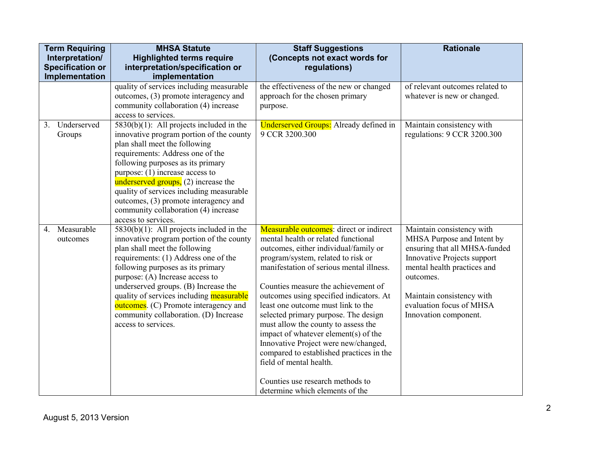| <b>Term Requiring</b><br>Interpretation/<br><b>Specification or</b><br>Implementation | <b>MHSA Statute</b><br><b>Highlighted terms require</b><br>interpretation/specification or<br>implementation                                                                                                                                                                                                                                                                                                                          | <b>Staff Suggestions</b><br>(Concepts not exact words for<br>regulations)                                                                                                                                                                                                                                                                                                                                                                                                                                                                                                                                                                              | <b>Rationale</b>                                                                                                                                                                                                                                             |
|---------------------------------------------------------------------------------------|---------------------------------------------------------------------------------------------------------------------------------------------------------------------------------------------------------------------------------------------------------------------------------------------------------------------------------------------------------------------------------------------------------------------------------------|--------------------------------------------------------------------------------------------------------------------------------------------------------------------------------------------------------------------------------------------------------------------------------------------------------------------------------------------------------------------------------------------------------------------------------------------------------------------------------------------------------------------------------------------------------------------------------------------------------------------------------------------------------|--------------------------------------------------------------------------------------------------------------------------------------------------------------------------------------------------------------------------------------------------------------|
|                                                                                       | quality of services including measurable<br>outcomes, (3) promote interagency and<br>community collaboration (4) increase<br>access to services.                                                                                                                                                                                                                                                                                      | the effectiveness of the new or changed<br>approach for the chosen primary<br>purpose.                                                                                                                                                                                                                                                                                                                                                                                                                                                                                                                                                                 | of relevant outcomes related to<br>whatever is new or changed.                                                                                                                                                                                               |
| Underserved<br>3 <sub>1</sub><br>Groups                                               | $5830(b)(1)$ : All projects included in the<br>innovative program portion of the county<br>plan shall meet the following<br>requirements: Address one of the<br>following purposes as its primary<br>purpose: $(1)$ increase access to<br>underserved groups, $(2)$ increase the<br>quality of services including measurable<br>outcomes, (3) promote interagency and<br>community collaboration (4) increase<br>access to services.  | <b>Underserved Groups:</b> Already defined in<br>9 CCR 3200.300                                                                                                                                                                                                                                                                                                                                                                                                                                                                                                                                                                                        | Maintain consistency with<br>regulations: 9 CCR 3200.300                                                                                                                                                                                                     |
| Measurable<br>$\overline{4}$ .<br>outcomes                                            | $5830(b)(1)$ : All projects included in the<br>innovative program portion of the county<br>plan shall meet the following<br>requirements: (1) Address one of the<br>following purposes as its primary<br>purpose: (A) Increase access to<br>underserved groups. (B) Increase the<br>quality of services including measurable<br>outcomes. (C) Promote interagency and<br>community collaboration. (D) Increase<br>access to services. | <b>Measurable outcomes</b> : direct or indirect<br>mental health or related functional<br>outcomes, either individual/family or<br>program/system, related to risk or<br>manifestation of serious mental illness.<br>Counties measure the achievement of<br>outcomes using specified indicators. At<br>least one outcome must link to the<br>selected primary purpose. The design<br>must allow the county to assess the<br>impact of whatever element(s) of the<br>Innovative Project were new/changed,<br>compared to established practices in the<br>field of mental health.<br>Counties use research methods to<br>determine which elements of the | Maintain consistency with<br>MHSA Purpose and Intent by<br>ensuring that all MHSA-funded<br><b>Innovative Projects support</b><br>mental health practices and<br>outcomes.<br>Maintain consistency with<br>evaluation focus of MHSA<br>Innovation component. |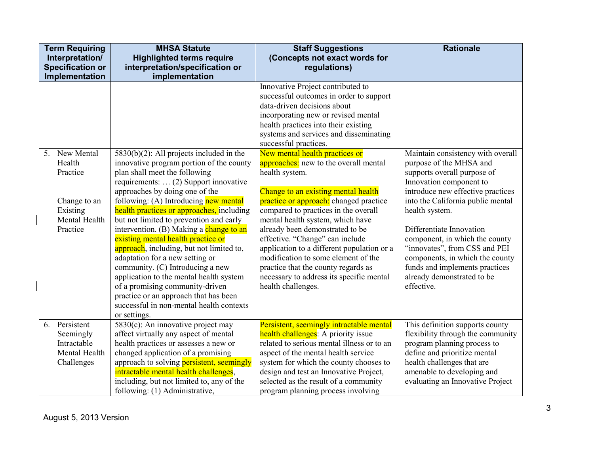|    | <b>Term Requiring</b><br>Interpretation/                                                  | <b>MHSA Statute</b><br><b>Highlighted terms require</b>                                                                                                                                                                                                                                                                                                                                                                                                                                                                                                                                                                                                                                                                     | <b>Staff Suggestions</b><br>(Concepts not exact words for                                                                                                                                                                                                                                                                                                                                                                                                                                                                  | <b>Rationale</b>                                                                                                                                                                                                                                                                                                                                                                                                                   |
|----|-------------------------------------------------------------------------------------------|-----------------------------------------------------------------------------------------------------------------------------------------------------------------------------------------------------------------------------------------------------------------------------------------------------------------------------------------------------------------------------------------------------------------------------------------------------------------------------------------------------------------------------------------------------------------------------------------------------------------------------------------------------------------------------------------------------------------------------|----------------------------------------------------------------------------------------------------------------------------------------------------------------------------------------------------------------------------------------------------------------------------------------------------------------------------------------------------------------------------------------------------------------------------------------------------------------------------------------------------------------------------|------------------------------------------------------------------------------------------------------------------------------------------------------------------------------------------------------------------------------------------------------------------------------------------------------------------------------------------------------------------------------------------------------------------------------------|
|    | <b>Specification or</b><br>Implementation                                                 | interpretation/specification or<br>implementation                                                                                                                                                                                                                                                                                                                                                                                                                                                                                                                                                                                                                                                                           | regulations)                                                                                                                                                                                                                                                                                                                                                                                                                                                                                                               |                                                                                                                                                                                                                                                                                                                                                                                                                                    |
|    |                                                                                           |                                                                                                                                                                                                                                                                                                                                                                                                                                                                                                                                                                                                                                                                                                                             | Innovative Project contributed to<br>successful outcomes in order to support<br>data-driven decisions about<br>incorporating new or revised mental<br>health practices into their existing<br>systems and services and disseminating<br>successful practices.                                                                                                                                                                                                                                                              |                                                                                                                                                                                                                                                                                                                                                                                                                                    |
| 5. | New Mental<br>Health<br>Practice<br>Change to an<br>Existing<br>Mental Health<br>Practice | $5830(b)(2)$ : All projects included in the<br>innovative program portion of the county<br>plan shall meet the following<br>requirements:  (2) Support innovative<br>approaches by doing one of the<br>following: (A) Introducing new mental<br>health practices or approaches, including<br>but not limited to prevention and early<br>intervention. (B) Making a change to an<br>existing mental health practice or<br>approach, including, but not limited to,<br>adaptation for a new setting or<br>community. (C) Introducing a new<br>application to the mental health system<br>of a promising community-driven<br>practice or an approach that has been<br>successful in non-mental health contexts<br>or settings. | New mental health practices or<br>approaches: new to the overall mental<br>health system.<br>Change to an existing mental health<br>practice or approach: changed practice<br>compared to practices in the overall<br>mental health system, which have<br>already been demonstrated to be<br>effective. "Change" can include<br>application to a different population or a<br>modification to some element of the<br>practice that the county regards as<br>necessary to address its specific mental<br>health challenges. | Maintain consistency with overall<br>purpose of the MHSA and<br>supports overall purpose of<br>Innovation component to<br>introduce new effective practices<br>into the California public mental<br>health system.<br>Differentiate Innovation<br>component, in which the county<br>"innovates", from CSS and PEI<br>components, in which the county<br>funds and implements practices<br>already demonstrated to be<br>effective. |
| 6. | Persistent<br>Seemingly<br>Intractable<br>Mental Health<br>Challenges                     | $5830(c)$ : An innovative project may<br>affect virtually any aspect of mental<br>health practices or assesses a new or<br>changed application of a promising<br>approach to solving persistent, seemingly<br>intractable mental health challenges,<br>including, but not limited to, any of the<br>following: (1) Administrative,                                                                                                                                                                                                                                                                                                                                                                                          | Persistent, seemingly intractable mental<br>health challenges: A priority issue<br>related to serious mental illness or to an<br>aspect of the mental health service<br>system for which the county chooses to<br>design and test an Innovative Project,<br>selected as the result of a community<br>program planning process involving                                                                                                                                                                                    | This definition supports county<br>flexibility through the community<br>program planning process to<br>define and prioritize mental<br>health challenges that are<br>amenable to developing and<br>evaluating an Innovative Project                                                                                                                                                                                                |

J,

**I**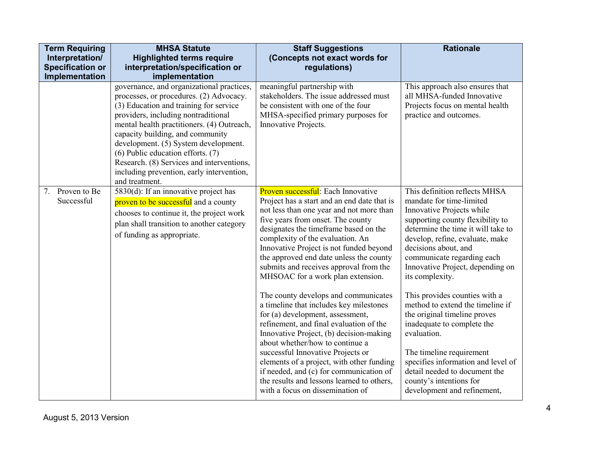| <b>Term Requiring</b><br>Interpretation/<br><b>Specification or</b><br>Implementation | <b>MHSA Statute</b><br><b>Highlighted terms require</b><br>interpretation/specification or<br>implementation                                                                                                                                                                                                                                                                                                                                         | <b>Staff Suggestions</b><br>(Concepts not exact words for<br>regulations)                                                                                                                                                                                                                                                                                                                                                                                                                                                                                                                                                                                                                                                                                                                                                                                                                  | <b>Rationale</b>                                                                                                                                                                                                                                                                                                                                                                                                                                                                                                                                                                                                                |
|---------------------------------------------------------------------------------------|------------------------------------------------------------------------------------------------------------------------------------------------------------------------------------------------------------------------------------------------------------------------------------------------------------------------------------------------------------------------------------------------------------------------------------------------------|--------------------------------------------------------------------------------------------------------------------------------------------------------------------------------------------------------------------------------------------------------------------------------------------------------------------------------------------------------------------------------------------------------------------------------------------------------------------------------------------------------------------------------------------------------------------------------------------------------------------------------------------------------------------------------------------------------------------------------------------------------------------------------------------------------------------------------------------------------------------------------------------|---------------------------------------------------------------------------------------------------------------------------------------------------------------------------------------------------------------------------------------------------------------------------------------------------------------------------------------------------------------------------------------------------------------------------------------------------------------------------------------------------------------------------------------------------------------------------------------------------------------------------------|
|                                                                                       | governance, and organizational practices,<br>processes, or procedures. (2) Advocacy.<br>(3) Education and training for service<br>providers, including nontraditional<br>mental health practitioners. (4) Outreach,<br>capacity building, and community<br>development. (5) System development.<br>$(6)$ Public education efforts. $(7)$<br>Research. (8) Services and interventions,<br>including prevention, early intervention,<br>and treatment. | meaningful partnership with<br>stakeholders. The issue addressed must<br>be consistent with one of the four<br>MHSA-specified primary purposes for<br>Innovative Projects.                                                                                                                                                                                                                                                                                                                                                                                                                                                                                                                                                                                                                                                                                                                 | This approach also ensures that<br>all MHSA-funded Innovative<br>Projects focus on mental health<br>practice and outcomes.                                                                                                                                                                                                                                                                                                                                                                                                                                                                                                      |
| Proven to Be<br>7.<br>Successful                                                      | 5830(d): If an innovative project has<br>proven to be successful and a county<br>chooses to continue it, the project work<br>plan shall transition to another category<br>of funding as appropriate.                                                                                                                                                                                                                                                 | <b>Proven successful:</b> Each Innovative<br>Project has a start and an end date that is<br>not less than one year and not more than<br>five years from onset. The county<br>designates the timeframe based on the<br>complexity of the evaluation. An<br>Innovative Project is not funded beyond<br>the approved end date unless the county<br>submits and receives approval from the<br>MHSOAC for a work plan extension.<br>The county develops and communicates<br>a timeline that includes key milestones<br>for (a) development, assessment,<br>refinement, and final evaluation of the<br>Innovative Project, (b) decision-making<br>about whether/how to continue a<br>successful Innovative Projects or<br>elements of a project, with other funding<br>if needed, and (c) for communication of<br>the results and lessons learned to others,<br>with a focus on dissemination of | This definition reflects MHSA<br>mandate for time-limited<br>Innovative Projects while<br>supporting county flexibility to<br>determine the time it will take to<br>develop, refine, evaluate, make<br>decisions about, and<br>communicate regarding each<br>Innovative Project, depending on<br>its complexity.<br>This provides counties with a<br>method to extend the timeline if<br>the original timeline proves<br>inadequate to complete the<br>evaluation.<br>The timeline requirement<br>specifies information and level of<br>detail needed to document the<br>county's intentions for<br>development and refinement, |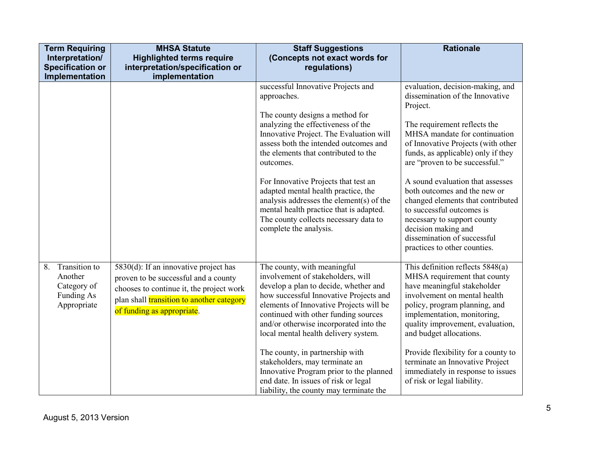| <b>Term Requiring</b><br>Interpretation/<br><b>Specification or</b><br>Implementation | <b>MHSA Statute</b><br><b>Highlighted terms require</b><br>interpretation/specification or<br>implementation                                                                                         | <b>Staff Suggestions</b><br>(Concepts not exact words for<br>regulations)                                                                                                                                                                                                                                                                                                                                                                                                                                                   | <b>Rationale</b>                                                                                                                                                                                                                                                                                                                                                                                                                                                                                                          |
|---------------------------------------------------------------------------------------|------------------------------------------------------------------------------------------------------------------------------------------------------------------------------------------------------|-----------------------------------------------------------------------------------------------------------------------------------------------------------------------------------------------------------------------------------------------------------------------------------------------------------------------------------------------------------------------------------------------------------------------------------------------------------------------------------------------------------------------------|---------------------------------------------------------------------------------------------------------------------------------------------------------------------------------------------------------------------------------------------------------------------------------------------------------------------------------------------------------------------------------------------------------------------------------------------------------------------------------------------------------------------------|
|                                                                                       |                                                                                                                                                                                                      | successful Innovative Projects and<br>approaches.<br>The county designs a method for<br>analyzing the effectiveness of the<br>Innovative Project. The Evaluation will<br>assess both the intended outcomes and<br>the elements that contributed to the<br>outcomes.<br>For Innovative Projects that test an<br>adapted mental health practice, the<br>analysis addresses the element(s) of the<br>mental health practice that is adapted.<br>The county collects necessary data to<br>complete the analysis.                | evaluation, decision-making, and<br>dissemination of the Innovative<br>Project.<br>The requirement reflects the<br>MHSA mandate for continuation<br>of Innovative Projects (with other<br>funds, as applicable) only if they<br>are "proven to be successful."<br>A sound evaluation that assesses<br>both outcomes and the new or<br>changed elements that contributed<br>to successful outcomes is<br>necessary to support county<br>decision making and<br>dissemination of successful<br>practices to other counties. |
| 8.<br>Transition to<br>Another<br>Category of<br>Funding As<br>Appropriate            | 5830(d): If an innovative project has<br>proven to be successful and a county<br>chooses to continue it, the project work<br>plan shall transition to another category<br>of funding as appropriate. | The county, with meaningful<br>involvement of stakeholders, will<br>develop a plan to decide, whether and<br>how successful Innovative Projects and<br>elements of Innovative Projects will be<br>continued with other funding sources<br>and/or otherwise incorporated into the<br>local mental health delivery system.<br>The county, in partnership with<br>stakeholders, may terminate an<br>Innovative Program prior to the planned<br>end date. In issues of risk or legal<br>liability, the county may terminate the | This definition reflects $5848(a)$<br>MHSA requirement that county<br>have meaningful stakeholder<br>involvement on mental health<br>policy, program planning, and<br>implementation, monitoring,<br>quality improvement, evaluation,<br>and budget allocations.<br>Provide flexibility for a county to<br>terminate an Innovative Project<br>immediately in response to issues<br>of risk or legal liability.                                                                                                            |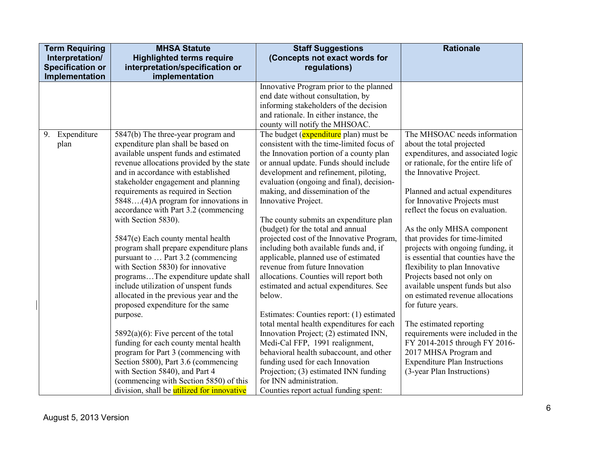| <b>Term Requiring</b>   | <b>MHSA Statute</b>                                                          | <b>Staff Suggestions</b>                                                    | <b>Rationale</b>                                                 |
|-------------------------|------------------------------------------------------------------------------|-----------------------------------------------------------------------------|------------------------------------------------------------------|
| Interpretation/         | <b>Highlighted terms require</b>                                             | (Concepts not exact words for                                               |                                                                  |
| <b>Specification or</b> | interpretation/specification or                                              | regulations)                                                                |                                                                  |
| Implementation          | implementation                                                               |                                                                             |                                                                  |
|                         |                                                                              | Innovative Program prior to the planned                                     |                                                                  |
|                         |                                                                              | end date without consultation, by                                           |                                                                  |
|                         |                                                                              | informing stakeholders of the decision                                      |                                                                  |
|                         |                                                                              | and rationale. In either instance, the                                      |                                                                  |
|                         |                                                                              | county will notify the MHSOAC.                                              |                                                                  |
| 9. Expenditure          | 5847(b) The three-year program and                                           | The budget (expenditure plan) must be                                       | The MHSOAC needs information                                     |
| plan                    | expenditure plan shall be based on                                           | consistent with the time-limited focus of                                   | about the total projected                                        |
|                         | available unspent funds and estimated                                        | the Innovation portion of a county plan                                     | expenditures, and associated logic                               |
|                         | revenue allocations provided by the state                                    | or annual update. Funds should include                                      | or rationale, for the entire life of                             |
|                         | and in accordance with established                                           | development and refinement, piloting,                                       | the Innovative Project.                                          |
|                         | stakeholder engagement and planning                                          | evaluation (ongoing and final), decision-                                   |                                                                  |
|                         | requirements as required in Section                                          | making, and dissemination of the                                            | Planned and actual expenditures                                  |
|                         | 5848(4)A program for innovations in                                          | Innovative Project.                                                         | for Innovative Projects must<br>reflect the focus on evaluation. |
|                         | accordance with Part 3.2 (commencing                                         |                                                                             |                                                                  |
|                         | with Section 5830).                                                          | The county submits an expenditure plan<br>(budget) for the total and annual |                                                                  |
|                         |                                                                              | projected cost of the Innovative Program,                                   | As the only MHSA component<br>that provides for time-limited     |
|                         | 5847(e) Each county mental health<br>program shall prepare expenditure plans | including both available funds and, if                                      | projects with ongoing funding, it                                |
|                         | pursuant to  Part 3.2 (commencing                                            | applicable, planned use of estimated                                        | is essential that counties have the                              |
|                         | with Section 5830) for innovative                                            | revenue from future Innovation                                              | flexibility to plan Innovative                                   |
|                         | programsThe expenditure update shall                                         | allocations. Counties will report both                                      | Projects based not only on                                       |
|                         | include utilization of unspent funds                                         | estimated and actual expenditures. See                                      | available unspent funds but also                                 |
|                         | allocated in the previous year and the                                       | below.                                                                      | on estimated revenue allocations                                 |
|                         | proposed expenditure for the same                                            |                                                                             | for future years.                                                |
|                         | purpose.                                                                     | Estimates: Counties report: (1) estimated                                   |                                                                  |
|                         |                                                                              | total mental health expenditures for each                                   | The estimated reporting                                          |
|                         | $5892(a)(6)$ : Five percent of the total                                     | Innovation Project; (2) estimated INN,                                      | requirements were included in the                                |
|                         | funding for each county mental health                                        | Medi-Cal FFP, 1991 realignment,                                             | FY 2014-2015 through FY 2016-                                    |
|                         | program for Part 3 (commencing with                                          | behavioral health subaccount, and other                                     | 2017 MHSA Program and                                            |
|                         | Section 5800), Part 3.6 (commencing                                          | funding used for each Innovation                                            | <b>Expenditure Plan Instructions</b>                             |
|                         | with Section 5840), and Part 4                                               | Projection; (3) estimated INN funding                                       | (3-year Plan Instructions)                                       |
|                         | (commencing with Section 5850) of this                                       | for INN administration.                                                     |                                                                  |
|                         | division, shall be utilized for innovative                                   | Counties report actual funding spent:                                       |                                                                  |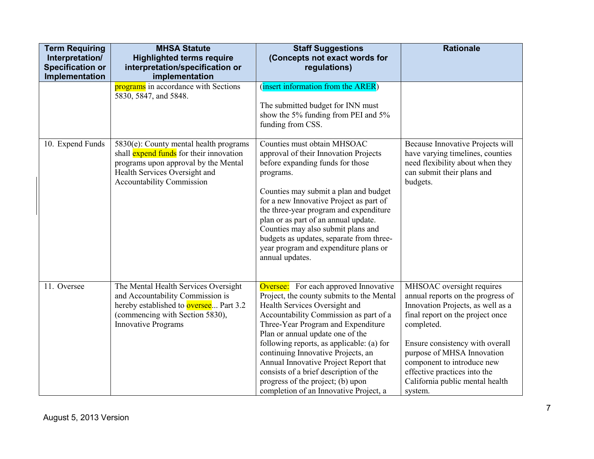| <b>Term Requiring</b><br>Interpretation/  | <b>MHSA Statute</b><br><b>Highlighted terms require</b>                                                                                                                                        | <b>Staff Suggestions</b><br>(Concepts not exact words for                                                                                                                                                                                                                                                                                                                                                                                                                                           | <b>Rationale</b>                                                                                                                                                                                                                                                                                                                   |
|-------------------------------------------|------------------------------------------------------------------------------------------------------------------------------------------------------------------------------------------------|-----------------------------------------------------------------------------------------------------------------------------------------------------------------------------------------------------------------------------------------------------------------------------------------------------------------------------------------------------------------------------------------------------------------------------------------------------------------------------------------------------|------------------------------------------------------------------------------------------------------------------------------------------------------------------------------------------------------------------------------------------------------------------------------------------------------------------------------------|
| <b>Specification or</b><br>Implementation | interpretation/specification or<br>implementation                                                                                                                                              | regulations)                                                                                                                                                                                                                                                                                                                                                                                                                                                                                        |                                                                                                                                                                                                                                                                                                                                    |
|                                           | programs in accordance with Sections<br>5830, 5847, and 5848.                                                                                                                                  | (insert information from the ARER)<br>The submitted budget for INN must<br>show the 5% funding from PEI and 5%<br>funding from CSS.                                                                                                                                                                                                                                                                                                                                                                 |                                                                                                                                                                                                                                                                                                                                    |
| 10. Expend Funds                          | 5830(e): County mental health programs<br>shall expend funds for their innovation<br>programs upon approval by the Mental<br>Health Services Oversight and<br><b>Accountability Commission</b> | Counties must obtain MHSOAC<br>approval of their Innovation Projects<br>before expanding funds for those<br>programs.<br>Counties may submit a plan and budget<br>for a new Innovative Project as part of<br>the three-year program and expenditure<br>plan or as part of an annual update.<br>Counties may also submit plans and<br>budgets as updates, separate from three-<br>year program and expenditure plans or<br>annual updates.                                                           | Because Innovative Projects will<br>have varying timelines, counties<br>need flexibility about when they<br>can submit their plans and<br>budgets.                                                                                                                                                                                 |
| 11. Oversee                               | The Mental Health Services Oversight<br>and Accountability Commission is<br>hereby established to <b>oversee</b> Part 3.2<br>(commencing with Section 5830),<br><b>Innovative Programs</b>     | <b>Oversee:</b> For each approved Innovative<br>Project, the county submits to the Mental<br>Health Services Oversight and<br>Accountability Commission as part of a<br>Three-Year Program and Expenditure<br>Plan or annual update one of the<br>following reports, as applicable: (a) for<br>continuing Innovative Projects, an<br>Annual Innovative Project Report that<br>consists of a brief description of the<br>progress of the project; (b) upon<br>completion of an Innovative Project, a | MHSOAC oversight requires<br>annual reports on the progress of<br>Innovation Projects, as well as a<br>final report on the project once<br>completed.<br>Ensure consistency with overall<br>purpose of MHSA Innovation<br>component to introduce new<br>effective practices into the<br>California public mental health<br>system. |